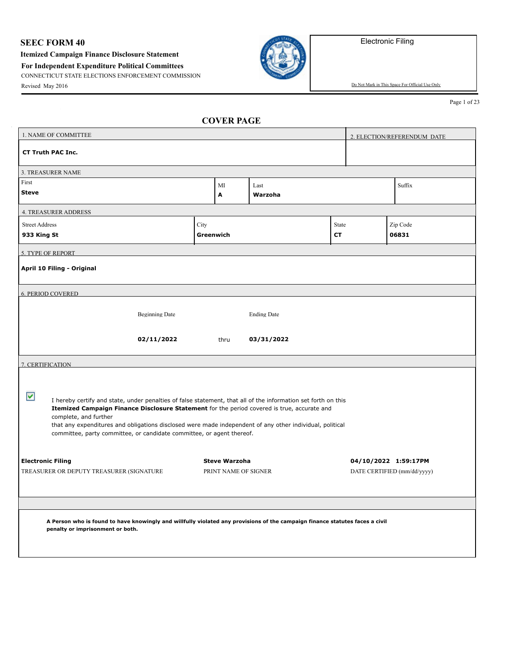## **SEEC FORM 40**

**Itemized Campaign Finance Disclosure Statement**

**For Independent Expenditure Political Committees**

CONNECTICUT STATE ELECTIONS ENFORCEMENT COMMISSION



Revised May 2016 Do Not Mark in This Space For Official Use Only

Page 1 of 23

| 1. NAME OF COMMITTEE        |                                                                                                                                                                                                                                       |           |                      |                    |       | 2. ELECTION/REFERENDUM DATE |
|-----------------------------|---------------------------------------------------------------------------------------------------------------------------------------------------------------------------------------------------------------------------------------|-----------|----------------------|--------------------|-------|-----------------------------|
| <b>CT Truth PAC Inc.</b>    |                                                                                                                                                                                                                                       |           |                      |                    |       |                             |
| 3. TREASURER NAME           |                                                                                                                                                                                                                                       |           |                      |                    |       |                             |
| First<br><b>Steve</b>       |                                                                                                                                                                                                                                       |           | MI<br>Α              | Last<br>Warzoha    |       | Suffix                      |
| <b>4. TREASURER ADDRESS</b> |                                                                                                                                                                                                                                       |           |                      |                    |       |                             |
| <b>Street Address</b>       |                                                                                                                                                                                                                                       | City      |                      |                    | State | Zip Code                    |
| 933 King St                 |                                                                                                                                                                                                                                       | Greenwich |                      |                    | CТ    | 06831                       |
| 5. TYPE OF REPORT           |                                                                                                                                                                                                                                       |           |                      |                    |       |                             |
| April 10 Filing - Original  |                                                                                                                                                                                                                                       |           |                      |                    |       |                             |
| <b>6. PERIOD COVERED</b>    |                                                                                                                                                                                                                                       |           |                      |                    |       |                             |
|                             | <b>Beginning Date</b>                                                                                                                                                                                                                 |           |                      | <b>Ending Date</b> |       |                             |
|                             | 02/11/2022                                                                                                                                                                                                                            |           | thru                 | 03/31/2022         |       |                             |
| 7. CERTIFICATION            |                                                                                                                                                                                                                                       |           |                      |                    |       |                             |
|                             |                                                                                                                                                                                                                                       |           |                      |                    |       |                             |
| ▽                           | I hereby certify and state, under penalties of false statement, that all of the information set forth on this<br>Itemized Campaign Finance Disclosure Statement for the period covered is true, accurate and<br>complete, and further |           |                      |                    |       |                             |
|                             | that any expenditures and obligations disclosed were made independent of any other individual, political<br>committee, party committee, or candidate committee, or agent thereof.                                                     |           |                      |                    |       |                             |
| <b>Electronic Filing</b>    |                                                                                                                                                                                                                                       |           | <b>Steve Warzoha</b> |                    |       | 04/10/2022 1:59:17PM        |
|                             | TREASURER OR DEPUTY TREASURER (SIGNATURE                                                                                                                                                                                              |           | PRINT NAME OF SIGNER |                    |       | DATE CERTIFIED (mm/dd/yyyy) |
|                             |                                                                                                                                                                                                                                       |           |                      |                    |       |                             |
|                             |                                                                                                                                                                                                                                       |           |                      |                    |       |                             |
|                             | A Person who is found to have knowingly and willfully violated any provisions of the campaign finance statutes faces a civil                                                                                                          |           |                      |                    |       |                             |
|                             | penalty or imprisonment or both.                                                                                                                                                                                                      |           |                      |                    |       |                             |
|                             |                                                                                                                                                                                                                                       |           |                      |                    |       |                             |
|                             |                                                                                                                                                                                                                                       |           |                      |                    |       |                             |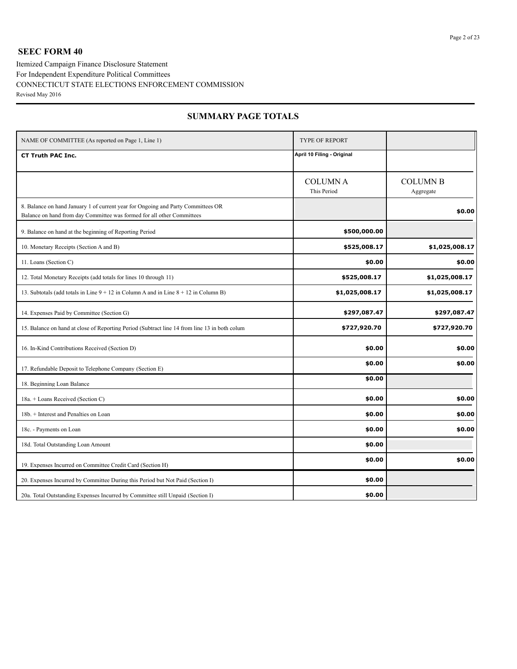## **SEEC FORM 40**

Itemized Campaign Finance Disclosure Statement CONNECTICUT STATE ELECTIONS ENFORCEMENT COMMISSION Revised May 2016 For Independent Expenditure Political Committees

| NAME OF COMMITTEE (As reported on Page 1, Line 1)                                                                                                          | <b>TYPE OF REPORT</b>         |                              |
|------------------------------------------------------------------------------------------------------------------------------------------------------------|-------------------------------|------------------------------|
| <b>CT Truth PAC Inc.</b>                                                                                                                                   | April 10 Filing - Original    |                              |
|                                                                                                                                                            | <b>COLUMNA</b><br>This Period | <b>COLUMN B</b><br>Aggregate |
| 8. Balance on hand January 1 of current year for Ongoing and Party Committees OR<br>Balance on hand from day Committee was formed for all other Committees |                               | \$0.00                       |
| 9. Balance on hand at the beginning of Reporting Period                                                                                                    | \$500,000.00                  |                              |
| 10. Monetary Receipts (Section A and B)                                                                                                                    | \$525,008.17                  | \$1,025,008.17               |
| 11. Loans (Section C)                                                                                                                                      | \$0.00                        | \$0.00                       |
| 12. Total Monetary Receipts (add totals for lines 10 through 11)                                                                                           | \$525,008.17                  | \$1,025,008.17               |
| 13. Subtotals (add totals in Line $9 + 12$ in Column A and in Line $8 + 12$ in Column B)                                                                   | \$1,025,008.17                | \$1,025,008.17               |
| 14. Expenses Paid by Committee (Section G)                                                                                                                 | \$297,087.47                  | \$297,087.47                 |
| 15. Balance on hand at close of Reporting Period (Subtract line 14 from line 13 in both colum                                                              | \$727,920.70                  | \$727,920.70                 |
| 16. In-Kind Contributions Received (Section D)                                                                                                             | \$0.00                        | \$0.00                       |
| 17. Refundable Deposit to Telephone Company (Section E)                                                                                                    | \$0.00                        | \$0.00                       |
| 18. Beginning Loan Balance                                                                                                                                 | \$0.00                        |                              |
| 18a. + Loans Received (Section C)                                                                                                                          | \$0.00                        | \$0.00                       |
| 18b. + Interest and Penalties on Loan                                                                                                                      | \$0.00                        | \$0.00                       |
| 18c. - Payments on Loan                                                                                                                                    | \$0.00                        | \$0.00                       |
| 18d. Total Outstanding Loan Amount                                                                                                                         | \$0.00                        |                              |
| 19. Expenses Incurred on Committee Credit Card (Section H)                                                                                                 | \$0.00                        | \$0.00                       |
| 20. Expenses Incurred by Committee During this Period but Not Paid (Section I)                                                                             | \$0.00                        |                              |
| 20a. Total Outstanding Expenses Incurred by Committee still Unpaid (Section I)                                                                             | \$0.00                        |                              |

## **SUMMARY PAGE TOTALS**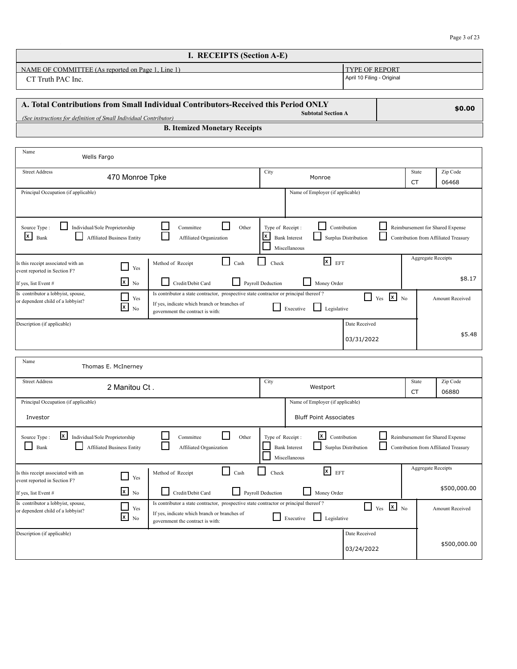Amount Received

\$500,000.00

| I. RECEIPTS (Section A-E)                         |                            |
|---------------------------------------------------|----------------------------|
| NAME OF COMMITTEE (As reported on Page 1, Line 1) | <b>LTYPE OF REPORT</b>     |
| CT Truth PAC Inc.                                 | April 10 Filing - Original |

| A. Total Contributions from Small Individual Contributors-Received this Period ONLY<br><b>Subtotal Section A</b><br>(See instructions for definition of Small Individual Contributor) | \$0.00 |
|---------------------------------------------------------------------------------------------------------------------------------------------------------------------------------------|--------|
| <b>B. Itemized Monetary Receipts</b>                                                                                                                                                  |        |

| Name<br>Wells Fargo                                                                                  |                                                                                                                                                                           |                                                                           |                                                                   |                            |                                  |                                       |
|------------------------------------------------------------------------------------------------------|---------------------------------------------------------------------------------------------------------------------------------------------------------------------------|---------------------------------------------------------------------------|-------------------------------------------------------------------|----------------------------|----------------------------------|---------------------------------------|
| <b>Street Address</b><br>470 Monroe Tpke                                                             |                                                                                                                                                                           | City                                                                      | Monroe                                                            |                            | State                            | Zip Code                              |
|                                                                                                      |                                                                                                                                                                           |                                                                           |                                                                   |                            | <b>CT</b>                        | 06468                                 |
| Principal Occupation (if applicable)                                                                 |                                                                                                                                                                           |                                                                           | Name of Employer (if applicable)                                  |                            |                                  |                                       |
| Individual/Sole Proprietorship<br>Source Type:<br>x<br>Bank<br><b>Affiliated Business Entity</b>     | Other<br>Committee<br>Affiliated Organization                                                                                                                             | Type of Receipt:<br>$\mathsf{x}$<br><b>Bank Interest</b><br>Miscellaneous | Contribution<br>Surplus Distribution                              |                            | Reimbursement for Shared Expense | Contribution from Affiliated Treasury |
| Is this receipt associated with an<br>$\Box$ Yes<br>event reported in Section F?                     | Method of Receipt<br>Cash                                                                                                                                                 | Check                                                                     | $\mathbf{x}$<br>EFT                                               |                            | <b>Aggregate Receipts</b>        |                                       |
| $x_{N0}$<br>If yes, list Event #                                                                     | ΙI<br>Credit/Debit Card                                                                                                                                                   | Payroll Deduction                                                         | Money Order                                                       |                            |                                  | \$8.17                                |
| Is contributor a lobbyist, spouse,<br>Yes<br>or dependent child of a lobbyist?<br>$\mathbf{x}$<br>No | Is contributor a state contractor, prospective state contractor or principal thereof?<br>If yes, indicate which branch or branches of<br>government the contract is with: | Executive                                                                 | $\Box$<br>Legislative                                             | ⊠<br>Yes<br>N <sub>0</sub> |                                  | <b>Amount Received</b>                |
| Description (if applicable)                                                                          |                                                                                                                                                                           |                                                                           | Date Received<br>03/31/2022                                       |                            |                                  | \$5.48                                |
| Name<br>Thomas E. McInerney                                                                          |                                                                                                                                                                           |                                                                           |                                                                   |                            |                                  |                                       |
| <b>Street Address</b><br>2 Manitou Ct.                                                               |                                                                                                                                                                           | City                                                                      | Westport                                                          |                            | State<br><b>CT</b>               | Zip Code<br>06880                     |
| Principal Occupation (if applicable)<br>Investor                                                     |                                                                                                                                                                           |                                                                           | Name of Employer (if applicable)<br><b>Bluff Point Associates</b> |                            |                                  |                                       |
| x<br>Individual/Sole Proprietorship<br>Source Type:<br>Bank<br><b>Affiliated Business Entity</b>     | Committee<br>Other<br>Affiliated Organization                                                                                                                             | Type of Receipt:<br><b>Bank Interest</b><br>Miscellaneous                 | lx I<br>Contribution<br>Surplus Distribution                      |                            | Reimbursement for Shared Expense | Contribution from Affiliated Treasury |
| Is this receipt associated with an<br>$\Box$ Yes<br>event reported in Section F?                     | Cash<br>Method of Receipt                                                                                                                                                 | Check                                                                     | $\mathbf{x}$<br>EFT                                               |                            | <b>Aggregate Receipts</b>        | \$500,000.00                          |
| $x_{\text{No}}$<br>If yes, list Event #                                                              | Credit/Debit Card                                                                                                                                                         | Payroll Deduction                                                         | Money Order                                                       |                            |                                  |                                       |

| $\mu$ yes, list event $\#$                                              | ല സ                    | Credit/Debit Card<br>Pavroll Dequetion<br>Money Order                                                                                                                                                 |                    |  |
|-------------------------------------------------------------------------|------------------------|-------------------------------------------------------------------------------------------------------------------------------------------------------------------------------------------------------|--------------------|--|
| Is contributor a lobbyist, spouse,<br>or dependent child of a lobbyist? | Yes<br>$x_{\text{No}}$ | Is contributor a state contractor, prospective state contractor or principal thereof?<br>If yes, indicate which branch or branches of<br>Legislative<br>Executive<br>government the contract is with: | IX.<br>Yes<br>l No |  |
| Description (if applicable)                                             |                        |                                                                                                                                                                                                       | Date Received      |  |
|                                                                         |                        |                                                                                                                                                                                                       | 03/24/2022         |  |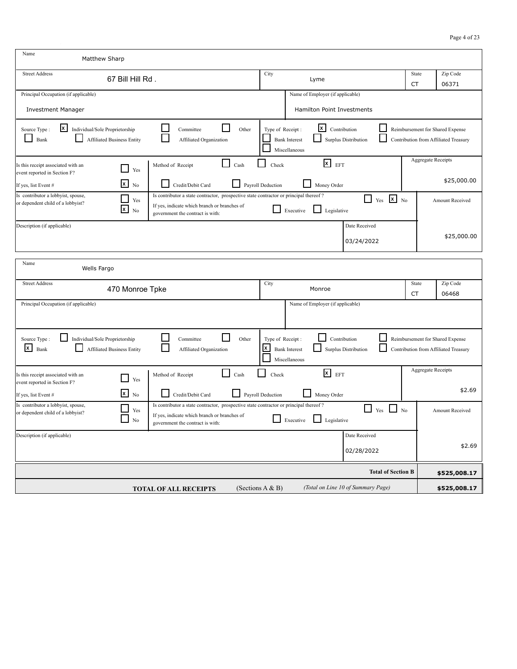| Name<br>Matthew Sharp                                                                                                         |                                                                                                                                                                           |                            |                                                                    |                                    |                    |                                                                           |
|-------------------------------------------------------------------------------------------------------------------------------|---------------------------------------------------------------------------------------------------------------------------------------------------------------------------|----------------------------|--------------------------------------------------------------------|------------------------------------|--------------------|---------------------------------------------------------------------------|
| <b>Street Address</b><br>67 Bill Hill Rd.                                                                                     |                                                                                                                                                                           | City                       | Lyme                                                               |                                    | State<br><b>CT</b> | Zip Code<br>06371                                                         |
| Principal Occupation (if applicable)<br><b>Investment Manager</b>                                                             |                                                                                                                                                                           |                            | Name of Employer (if applicable)<br>Hamilton Point Investments     |                                    |                    |                                                                           |
| $\mathbf{x}$<br>Individual/Sole Proprietorship<br>Source Type:<br>$\blacksquare$<br>Bank<br><b>Affiliated Business Entity</b> | Committee<br>Other<br>Affiliated Organization                                                                                                                             | Type of Receipt:           | $\mathbf{x}$ Contribution<br><b>Bank Interest</b><br>Miscellaneous | Surplus Distribution               |                    | Reimbursement for Shared Expense<br>Contribution from Affiliated Treasury |
| Is this receipt associated with an<br>Yes<br>event reported in Section F?<br>$x_{\text{No}}$<br>If yes, list Event #          | Cash<br>Method of Receipt<br>Credit/Debit Card                                                                                                                            | Check<br>Payroll Deduction | $x$ EFT<br>Money Order                                             |                                    |                    | Aggregate Receipts<br>\$25,000.00                                         |
| Is contributor a lobbyist, spouse,<br>Yes<br>or dependent child of a lobbyist?<br>$\mathsf{x}$<br>No                          | Is contributor a state contractor, prospective state contractor or principal thereof?<br>If yes, indicate which branch or branches of<br>government the contract is with: |                            | Executive<br>$\Box$ Legislative                                    | $\mathbf{x}$ No<br>H.<br>Yes       |                    | <b>Amount Received</b>                                                    |
| Description (if applicable)                                                                                                   |                                                                                                                                                                           |                            |                                                                    | Date Received<br>03/24/2022        |                    | \$25,000.00                                                               |
| Name<br>Wells Fargo                                                                                                           |                                                                                                                                                                           |                            |                                                                    |                                    |                    |                                                                           |
| <b>Street Address</b><br>470 Monroe Tpke                                                                                      |                                                                                                                                                                           | City                       | Monroe                                                             |                                    | State<br>CT        | Zip Code<br>06468                                                         |
| Principal Occupation (if applicable)                                                                                          |                                                                                                                                                                           |                            | Name of Employer (if applicable)                                   |                                    |                    |                                                                           |
| Source Type:<br>Individual/Sole Proprietorship<br>$x \mid$<br>Bank<br>Affiliated Business Entity                              | Other<br>Committee<br>Affiliated Organization                                                                                                                             | Type of Receipt:<br>x      | Contribution<br><b>Bank Interest</b><br>Miscellaneous              | Surplus Distribution               |                    | Reimbursement for Shared Expense<br>Contribution from Affiliated Treasury |
| Is this receipt associated with an<br>Yes<br>event reported in Section F?                                                     | Cash<br>Method of Receipt                                                                                                                                                 | Check                      | $x$ EFT                                                            |                                    |                    | Aggregate Receipts                                                        |
| $x_{\text{No}}$<br>If yes, list Event #                                                                                       | Credit/Debit Card                                                                                                                                                         | Payroll Deduction          | Money Order                                                        |                                    |                    | \$2.69                                                                    |
| Is contributor a lobbyist, spouse,<br>Yes<br>or dependent child of a lobbyist?<br>No                                          | Is contributor a state contractor, prospective state contractor or principal thereof?<br>If yes, indicate which branch or branches of<br>government the contract is with: |                            | $\Box$ Legislative<br>Executive                                    | $\Box$ Yes $\Box$ No               |                    | <b>Amount Received</b>                                                    |
| Description (if applicable)                                                                                                   |                                                                                                                                                                           |                            |                                                                    | Date Received<br>02/28/2022        |                    | \$2.69                                                                    |
|                                                                                                                               |                                                                                                                                                                           |                            |                                                                    | <b>Total of Section B</b>          |                    | \$525,008.17                                                              |
|                                                                                                                               | <b>TOTAL OF ALL RECEIPTS</b>                                                                                                                                              | (Sections $A & B$ )        |                                                                    | (Total on Line 10 of Summary Page) |                    | \$525,008.17                                                              |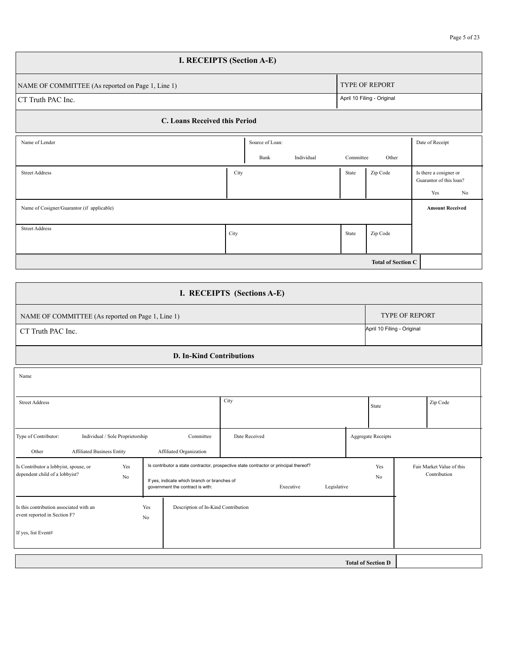| I. RECEIPTS (Section A-E)                                                  |                                       |           |          |                                                                |  |  |  |  |
|----------------------------------------------------------------------------|---------------------------------------|-----------|----------|----------------------------------------------------------------|--|--|--|--|
| <b>TYPE OF REPORT</b><br>NAME OF COMMITTEE (As reported on Page 1, Line 1) |                                       |           |          |                                                                |  |  |  |  |
| CT Truth PAC Inc.                                                          |                                       |           |          |                                                                |  |  |  |  |
| C. Loans Received this Period                                              |                                       |           |          |                                                                |  |  |  |  |
| Name of Lender                                                             | Source of Loan:<br>Individual<br>Bank | Committee | Other    | Date of Receipt                                                |  |  |  |  |
| <b>Street Address</b>                                                      | City                                  | State     | Zip Code | Is there a cosigner or<br>Guarantor of this loan?<br>Yes<br>No |  |  |  |  |
| Name of Cosigner/Guarantor (if applicable)                                 |                                       |           |          | <b>Amount Received</b>                                         |  |  |  |  |
| <b>Street Address</b>                                                      | City                                  | State     | Zip Code |                                                                |  |  |  |  |
| <b>Total of Section C</b>                                                  |                                       |           |          |                                                                |  |  |  |  |

| <b>TYPE OF REPORT</b><br>NAME OF COMMITTEE (As reported on Page 1, Line 1)<br>April 10 Filing - Original<br>CT Truth PAC Inc.<br><b>D. In-Kind Contributions</b><br>Name<br>City<br><b>Street Address</b><br>Zip Code<br>State<br>Type of Contributor:<br>Individual / Sole Proprietorship<br>Date Received<br><b>Aggregate Receipts</b><br>Committee<br>Other | I. RECEIPTS (Sections A-E)                                   |  |  |  |  |  |  |  |  |
|----------------------------------------------------------------------------------------------------------------------------------------------------------------------------------------------------------------------------------------------------------------------------------------------------------------------------------------------------------------|--------------------------------------------------------------|--|--|--|--|--|--|--|--|
|                                                                                                                                                                                                                                                                                                                                                                |                                                              |  |  |  |  |  |  |  |  |
|                                                                                                                                                                                                                                                                                                                                                                |                                                              |  |  |  |  |  |  |  |  |
|                                                                                                                                                                                                                                                                                                                                                                |                                                              |  |  |  |  |  |  |  |  |
|                                                                                                                                                                                                                                                                                                                                                                |                                                              |  |  |  |  |  |  |  |  |
|                                                                                                                                                                                                                                                                                                                                                                |                                                              |  |  |  |  |  |  |  |  |
|                                                                                                                                                                                                                                                                                                                                                                | <b>Affiliated Business Entity</b><br>Affiliated Organization |  |  |  |  |  |  |  |  |
| Is contributor a state contractor, prospective state contractor or principal thereof?<br>Is Contributor a lobbyist, spouse, or<br>Fair Market Value of this<br>Yes<br>Yes<br>dependent child of a lobbyist?<br>Contribution<br>No<br>No<br>If yes, indicate which branch or branches of<br>Legislative<br>government the contract is with:<br>Executive        |                                                              |  |  |  |  |  |  |  |  |
| Is this contribution associated with an<br>Yes<br>Description of In-Kind Contribution<br>event reported in Section F?<br>No<br>If yes, list Event#                                                                                                                                                                                                             |                                                              |  |  |  |  |  |  |  |  |
| <b>Total of Section D</b>                                                                                                                                                                                                                                                                                                                                      |                                                              |  |  |  |  |  |  |  |  |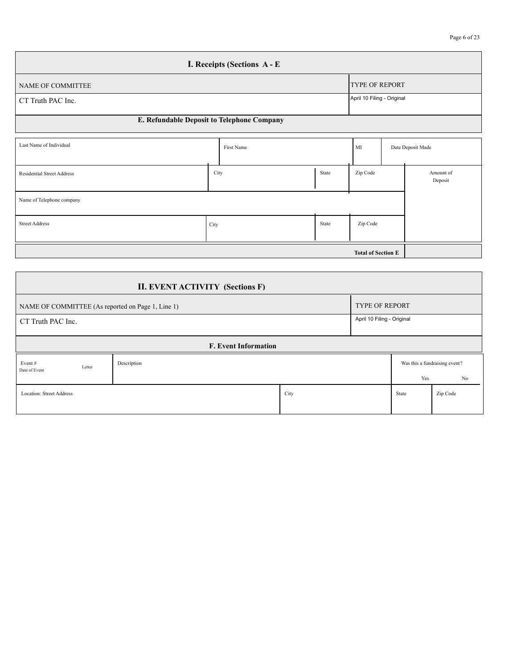| Page 6 of 2 |  |
|-------------|--|
|-------------|--|

| I. Receipts (Sections A - E                |                            |  |  |  |  |  |  |
|--------------------------------------------|----------------------------|--|--|--|--|--|--|
| NAME OF COMMITTEE                          | <b>TYPE OF REPORT</b>      |  |  |  |  |  |  |
| CT Truth PAC Inc.                          | April 10 Filing - Original |  |  |  |  |  |  |
| E. Refundable Deposit to Telephone Company |                            |  |  |  |  |  |  |

| Last Name of Individual           |      | First Name |       | MI       |  | Date Deposit Made    |  |  |
|-----------------------------------|------|------------|-------|----------|--|----------------------|--|--|
| <b>Residential Street Address</b> | City |            | State | Zip Code |  | Amount of<br>Deposit |  |  |
| Name of Telephone company         |      |            |       |          |  |                      |  |  |
| <b>Street Address</b>             | City |            | State | Zip Code |  |                      |  |  |
|                                   |      |            |       |          |  |                      |  |  |

| <b>II. EVENT ACTIVITY (Sections F)</b>          |                                                                            |      |  |       |                               |  |  |  |  |  |  |
|-------------------------------------------------|----------------------------------------------------------------------------|------|--|-------|-------------------------------|--|--|--|--|--|--|
|                                                 | <b>TYPE OF REPORT</b><br>NAME OF COMMITTEE (As reported on Page 1, Line 1) |      |  |       |                               |  |  |  |  |  |  |
| April 10 Filing - Original<br>CT Truth PAC Inc. |                                                                            |      |  |       |                               |  |  |  |  |  |  |
| <b>F. Event Information</b>                     |                                                                            |      |  |       |                               |  |  |  |  |  |  |
| Event#<br>Letter<br>Date of Event               | Description                                                                |      |  |       | Was this a fundraising event? |  |  |  |  |  |  |
|                                                 |                                                                            |      |  | Yes   | No                            |  |  |  |  |  |  |
| Location: Street Address                        |                                                                            | City |  | State | Zip Code                      |  |  |  |  |  |  |
|                                                 |                                                                            |      |  |       |                               |  |  |  |  |  |  |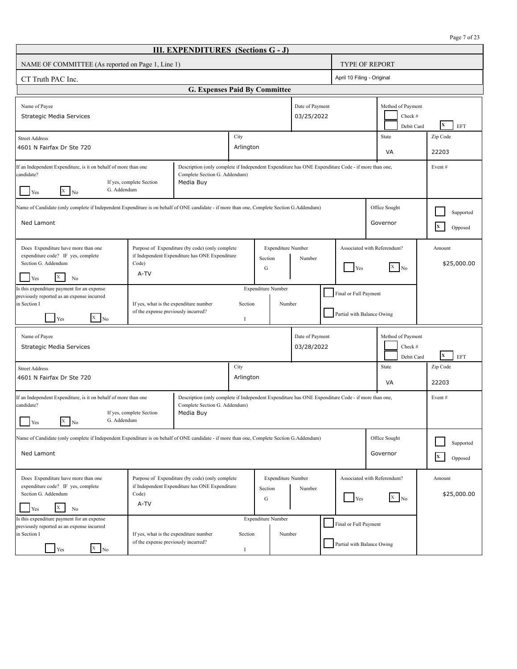| Page 7 of 2 |  |  |  |
|-------------|--|--|--|
|-------------|--|--|--|

| <b>III. EXPENDITURES</b> (Sections G - J)                                                                                                                                                                                                                                                     |                                                                                                                                                                 |                                                                                                                                                                                             |                   |                           |        |                               |                           |                                                     |                                                  |                                               |                       |                           |
|-----------------------------------------------------------------------------------------------------------------------------------------------------------------------------------------------------------------------------------------------------------------------------------------------|-----------------------------------------------------------------------------------------------------------------------------------------------------------------|---------------------------------------------------------------------------------------------------------------------------------------------------------------------------------------------|-------------------|---------------------------|--------|-------------------------------|---------------------------|-----------------------------------------------------|--------------------------------------------------|-----------------------------------------------|-----------------------|---------------------------|
| NAME OF COMMITTEE (As reported on Page 1, Line 1)                                                                                                                                                                                                                                             |                                                                                                                                                                 |                                                                                                                                                                                             |                   |                           |        |                               |                           | <b>TYPE OF REPORT</b>                               |                                                  |                                               |                       |                           |
| CT Truth PAC Inc.                                                                                                                                                                                                                                                                             |                                                                                                                                                                 |                                                                                                                                                                                             |                   |                           |        |                               |                           | April 10 Filing - Original                          |                                                  |                                               |                       |                           |
|                                                                                                                                                                                                                                                                                               |                                                                                                                                                                 | <b>G. Expenses Paid By Committee</b>                                                                                                                                                        |                   |                           |        |                               |                           |                                                     |                                                  |                                               |                       |                           |
| Name of Payee<br>Strategic Media Services                                                                                                                                                                                                                                                     |                                                                                                                                                                 |                                                                                                                                                                                             |                   |                           |        | Date of Payment<br>03/25/2022 |                           |                                                     |                                                  | Method of Payment<br>Check #<br>Debit Card    |                       | X<br><b>EFT</b>           |
| <b>Street Address</b><br>4601 N Fairfax Dr Ste 720                                                                                                                                                                                                                                            |                                                                                                                                                                 |                                                                                                                                                                                             | City<br>Arlington |                           |        |                               |                           |                                                     |                                                  | State<br>VA                                   |                       | Zip Code<br>22203         |
| Description (only complete if Independent Expenditure has ONE Expenditure Code - if more than one,<br>If an Independent Expenditure, is it on behalf of more than one<br>candidate?<br>Complete Section G. Addendum)<br>Media Buy<br>If yes, complete Section<br>G. Addendum<br>$X$ No<br>Yes |                                                                                                                                                                 |                                                                                                                                                                                             |                   |                           |        |                               | Event#                    |                                                     |                                                  |                                               |                       |                           |
| Name of Candidate (only complete if Independent Expenditure is on behalf of ONE candidate - if more than one, Complete Section G.Addendum)<br>Office Sought<br>Ned Lamont<br>Governor                                                                                                         |                                                                                                                                                                 |                                                                                                                                                                                             |                   |                           |        |                               | Supported<br>X<br>Opposed |                                                     |                                                  |                                               |                       |                           |
| Does Expenditure have more than one<br>expenditure code? IF yes, complete<br>Section G. Addendum<br>X<br>Yes<br>No                                                                                                                                                                            | Code)<br>A-TV                                                                                                                                                   | Purpose of Expenditure (by code) (only complete<br><b>Expenditure Number</b><br>if Independent Expenditure has ONE Expenditure<br>Section<br>Number<br>Yes<br>G                             |                   |                           |        |                               |                           |                                                     | Associated with Referendum?<br>$\overline{X}$ No |                                               | Amount<br>\$25,000.00 |                           |
| is this expenditure payment for an expense<br>previously reported as an expense incurred<br>in Section I<br>$\begin{bmatrix} x \\ \end{bmatrix}$ No<br>Yes                                                                                                                                    |                                                                                                                                                                 | <b>Expenditure Number</b><br>Final or Full Payment<br>If yes, what is the expenditure number<br>Section<br>Number<br>of the expense previously incurred?<br>Partial with Balance Owing<br>Ι |                   |                           |        |                               |                           |                                                     |                                                  |                                               |                       |                           |
| Name of Payee<br>Strategic Media Services                                                                                                                                                                                                                                                     |                                                                                                                                                                 |                                                                                                                                                                                             |                   |                           |        | Date of Payment<br>03/28/2022 |                           |                                                     |                                                  | Method of Payment<br>Check $\#$<br>Debit Card |                       | X<br>EFT                  |
| <b>Street Address</b><br>4601 N Fairfax Dr Ste 720                                                                                                                                                                                                                                            |                                                                                                                                                                 |                                                                                                                                                                                             | City<br>Arlington |                           |        |                               |                           |                                                     |                                                  | State<br>VA                                   |                       | Zip Code<br>22203         |
| If an Independent Expenditure, is it on behalf of more than one<br>candidate?<br>G. Addendum<br>X<br>No                                                                                                                                                                                       | If yes, complete Section                                                                                                                                        | Description (only complete if Independent Expenditure has ONE Expenditure Code - if more than one,<br>Complete Section G. Addendum)<br>Media Buy                                            |                   |                           |        |                               |                           |                                                     |                                                  |                                               |                       | Event#                    |
| Name of Candidate (only complete if Independent Expenditure is on behalf of ONE candidate - if more than one, Complete Section G.Addendum)<br>Ned Lamont                                                                                                                                      |                                                                                                                                                                 |                                                                                                                                                                                             |                   |                           |        |                               |                           |                                                     |                                                  | Office Sought<br>Governor                     |                       | Supported<br>X<br>Opposed |
| Does Expenditure have more than one<br>expenditure code? IF yes, complete<br>Section G. Addendum<br>X<br>Yes<br>No                                                                                                                                                                            | Purpose of Expenditure (by code) (only complete<br><b>Expenditure Number</b><br>if Independent Expenditure has ONE Expenditure<br>Section<br>Code)<br>G<br>A-TV |                                                                                                                                                                                             |                   |                           |        | Number                        |                           | Associated with Referendum?<br>Yes                  |                                                  | $\overline{x}$ No                             |                       | Amount<br>\$25,000.00     |
| is this expenditure payment for an expense<br>previously reported as an expense incurred<br>in Section I<br>$\overline{X}$ No<br>Yes                                                                                                                                                          | If yes, what is the expenditure number<br>of the expense previously incurred?                                                                                   |                                                                                                                                                                                             | Section<br>Ι      | <b>Expenditure Number</b> | Number |                               |                           | Final or Full Payment<br>Partial with Balance Owing |                                                  |                                               |                       |                           |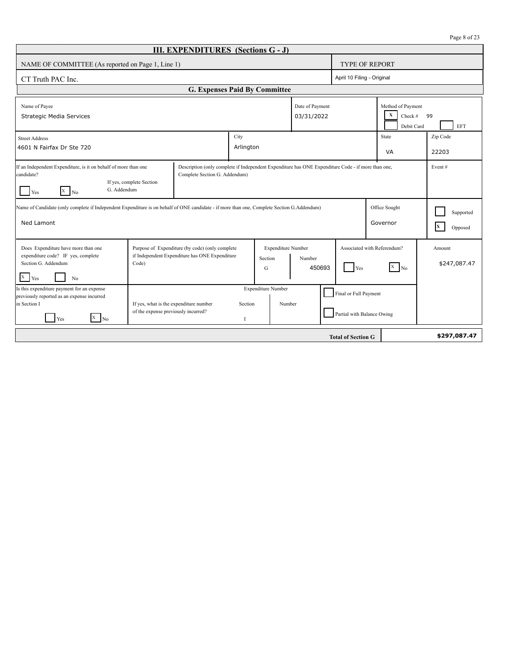|  |  | Page 8 of 23 |
|--|--|--------------|
|--|--|--------------|

| <b>III. EXPENDITURES</b> (Sections G - J)                                                                                                                                                                                                                                                          |                                                                               |                                                                                                   |                         |                                     |                               |                           |                                                     |                                                                |                           |  |  |
|----------------------------------------------------------------------------------------------------------------------------------------------------------------------------------------------------------------------------------------------------------------------------------------------------|-------------------------------------------------------------------------------|---------------------------------------------------------------------------------------------------|-------------------------|-------------------------------------|-------------------------------|---------------------------|-----------------------------------------------------|----------------------------------------------------------------|---------------------------|--|--|
| NAME OF COMMITTEE (As reported on Page 1, Line 1)                                                                                                                                                                                                                                                  |                                                                               |                                                                                                   |                         |                                     |                               |                           | <b>TYPE OF REPORT</b>                               |                                                                |                           |  |  |
| CT Truth PAC Inc.                                                                                                                                                                                                                                                                                  |                                                                               |                                                                                                   |                         |                                     |                               |                           | April 10 Filing - Original                          |                                                                |                           |  |  |
|                                                                                                                                                                                                                                                                                                    |                                                                               | G. Expenses Paid By Committee                                                                     |                         |                                     |                               |                           |                                                     |                                                                |                           |  |  |
| Name of Payee<br>Strategic Media Services                                                                                                                                                                                                                                                          |                                                                               |                                                                                                   |                         |                                     | Date of Payment<br>03/31/2022 |                           |                                                     | Method of Payment<br>$\mathbf X$<br>Check $#$ 99<br>Debit Card | EFT                       |  |  |
| <b>Street Address</b>                                                                                                                                                                                                                                                                              |                                                                               |                                                                                                   | City                    |                                     |                               |                           |                                                     | State                                                          | Zip Code                  |  |  |
| Arlington<br>4601 N Fairfax Dr Ste 720                                                                                                                                                                                                                                                             |                                                                               |                                                                                                   |                         |                                     |                               |                           |                                                     | VA                                                             | 22203                     |  |  |
| If an Independent Expenditure, is it on behalf of more than one<br>Description (only complete if Independent Expenditure has ONE Expenditure Code - if more than one,<br>Event#<br>candidate?<br>Complete Section G. Addendum)<br>If yes, complete Section<br>G. Addendum<br>$X \mid_{N_0}$<br>Yes |                                                                               |                                                                                                   |                         |                                     |                               |                           |                                                     |                                                                |                           |  |  |
| Name of Candidate (only complete if Independent Expenditure is on behalf of ONE candidate - if more than one, Complete Section G.Addendum)<br>Ned Lamont                                                                                                                                           |                                                                               |                                                                                                   |                         |                                     |                               |                           |                                                     | Office Sought<br>Governor                                      | Supported<br>X<br>Opposed |  |  |
| Does Expenditure have more than one<br>expenditure code? IF yes, complete<br>Section G. Addendum<br>X<br>Yes<br>N <sub>0</sub>                                                                                                                                                                     | Code)                                                                         | Purpose of Expenditure (by code) (only complete<br>if Independent Expenditure has ONE Expenditure |                         | Expenditure Number<br>Section<br>G  | Number<br>450693              |                           | Yes                                                 | Associated with Referendum?<br>$X$ No                          | Amount<br>\$247,087.47    |  |  |
| Is this expenditure payment for an expense<br>previously reported as an expense incurred<br>in Section I<br>$X$ No<br>Yes                                                                                                                                                                          | If yes, what is the expenditure number<br>of the expense previously incurred? |                                                                                                   | Section<br>$\mathbf{I}$ | <b>Expenditure Number</b><br>Number |                               |                           | Final or Full Payment<br>Partial with Balance Owing |                                                                |                           |  |  |
|                                                                                                                                                                                                                                                                                                    |                                                                               |                                                                                                   |                         |                                     |                               | <b>Total of Section G</b> |                                                     |                                                                | \$297,087.47              |  |  |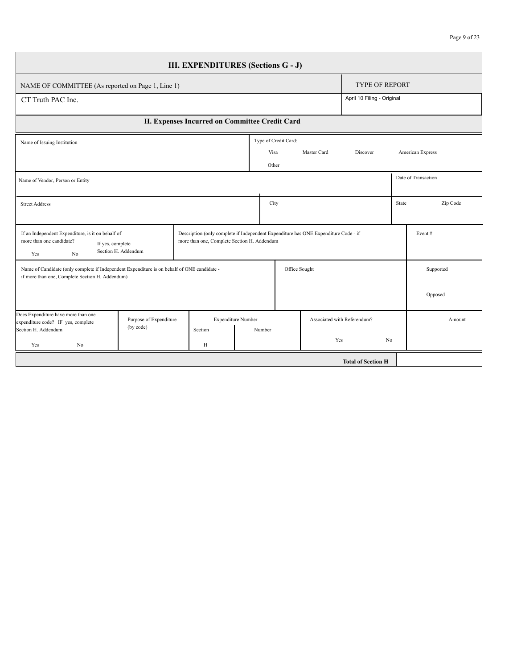| <b>III. EXPENDITURES (Sections G - J)</b>                                                                                                      |                        |                                             |                    |                                                                                               |                      |               |                             |                |                     |           |  |  |
|------------------------------------------------------------------------------------------------------------------------------------------------|------------------------|---------------------------------------------|--------------------|-----------------------------------------------------------------------------------------------|----------------------|---------------|-----------------------------|----------------|---------------------|-----------|--|--|
| NAME OF COMMITTEE (As reported on Page 1, Line 1)                                                                                              |                        |                                             |                    |                                                                                               |                      |               | <b>TYPE OF REPORT</b>       |                |                     |           |  |  |
| CT Truth PAC Inc.                                                                                                                              |                        |                                             |                    |                                                                                               |                      |               | April 10 Filing - Original  |                |                     |           |  |  |
| H. Expenses Incurred on Committee Credit Card                                                                                                  |                        |                                             |                    |                                                                                               |                      |               |                             |                |                     |           |  |  |
| Name of Issuing Institution                                                                                                                    |                        |                                             |                    |                                                                                               | Type of Credit Card: |               |                             |                |                     |           |  |  |
|                                                                                                                                                |                        |                                             |                    |                                                                                               | Visa                 | Master Card   | Discover                    |                | American Express    |           |  |  |
|                                                                                                                                                |                        |                                             |                    | Other                                                                                         |                      |               |                             |                |                     |           |  |  |
| Name of Vendor, Person or Entity                                                                                                               |                        |                                             |                    |                                                                                               |                      |               |                             |                | Date of Transaction |           |  |  |
| <b>Street Address</b>                                                                                                                          |                        |                                             |                    | City                                                                                          |                      |               |                             |                | State               | Zip Code  |  |  |
| If an Independent Expenditure, is it on behalf of<br>more than one candidate?<br>If yes, complete<br>No<br>Yes                                 | Section H. Addendum    | more than one, Complete Section H. Addendum |                    | Description (only complete if Independent Expenditure has ONE Expenditure Code - if<br>Event# |                      |               |                             |                |                     |           |  |  |
| Name of Candidate (only complete if Independent Expenditure is on behalf of ONE candidate -<br>if more than one, Complete Section H. Addendum) |                        |                                             |                    |                                                                                               |                      | Office Sought |                             |                |                     | Supported |  |  |
|                                                                                                                                                |                        |                                             |                    |                                                                                               |                      |               |                             |                | Opposed             |           |  |  |
| Does Expenditure have more than one<br>expenditure code? IF yes, complete                                                                      | Purpose of Expenditure |                                             | Expenditure Number |                                                                                               |                      |               | Associated with Referendum? |                | Amount              |           |  |  |
| Section H. Addendum<br>Yes<br>No                                                                                                               | (by code)              | Section<br>H                                |                    | Number                                                                                        |                      | Yes           |                             | N <sub>0</sub> |                     |           |  |  |
|                                                                                                                                                |                        |                                             |                    |                                                                                               |                      |               | <b>Total of Section H</b>   |                |                     |           |  |  |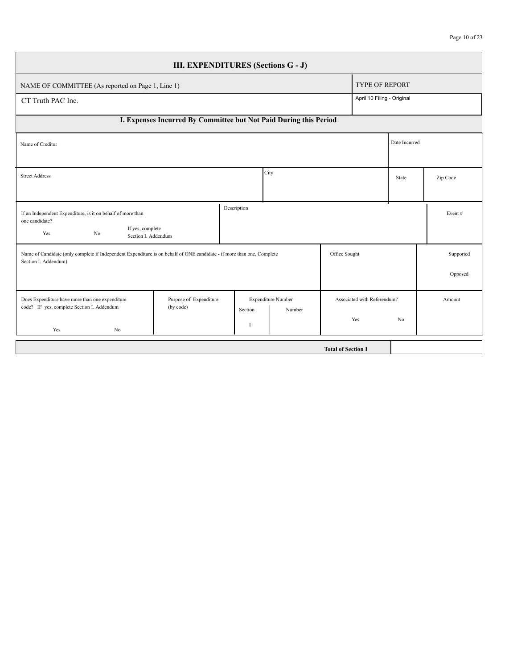| <b>III. EXPENDITURES (Sections G - J)</b>                                                                                                      |                                     |              |                    |                           |                             |               |           |  |  |  |  |
|------------------------------------------------------------------------------------------------------------------------------------------------|-------------------------------------|--------------|--------------------|---------------------------|-----------------------------|---------------|-----------|--|--|--|--|
| NAME OF COMMITTEE (As reported on Page 1, Line 1)                                                                                              |                                     |              |                    |                           | <b>TYPE OF REPORT</b>       |               |           |  |  |  |  |
| April 10 Filing - Original<br>CT Truth PAC Inc.                                                                                                |                                     |              |                    |                           |                             |               |           |  |  |  |  |
| I. Expenses Incurred By Committee but Not Paid During this Period                                                                              |                                     |              |                    |                           |                             |               |           |  |  |  |  |
| Name of Creditor                                                                                                                               |                                     |              |                    |                           |                             | Date Incurred |           |  |  |  |  |
|                                                                                                                                                |                                     |              |                    |                           |                             |               |           |  |  |  |  |
| City<br><b>Street Address</b><br>State                                                                                                         |                                     |              |                    |                           |                             |               | Zip Code  |  |  |  |  |
|                                                                                                                                                |                                     |              |                    |                           |                             |               |           |  |  |  |  |
| If an Independent Expenditure, is it on behalf of more than<br>one candidate?                                                                  |                                     | Description  |                    |                           |                             |               | Event $#$ |  |  |  |  |
| If yes, complete<br>Yes<br>N <sub>0</sub><br>Section I. Addendum                                                                               |                                     |              |                    |                           |                             |               |           |  |  |  |  |
| Name of Candidate (only complete if Independent Expenditure is on behalf of ONE candidate - if more than one, Complete<br>Section I. Addendum) |                                     |              |                    | Office Sought             |                             |               | Supported |  |  |  |  |
|                                                                                                                                                |                                     |              |                    |                           |                             |               | Opposed   |  |  |  |  |
| Does Expenditure have more than one expenditure<br>code? IF yes, complete Section I. Addendum                                                  | Purpose of Expenditure<br>(by code) |              | Expenditure Number |                           | Associated with Referendum? |               | Amount    |  |  |  |  |
| Yes<br>No                                                                                                                                      |                                     | Section<br>I | Number             |                           | Yes                         | No            |           |  |  |  |  |
|                                                                                                                                                |                                     |              |                    | <b>Total of Section I</b> |                             |               |           |  |  |  |  |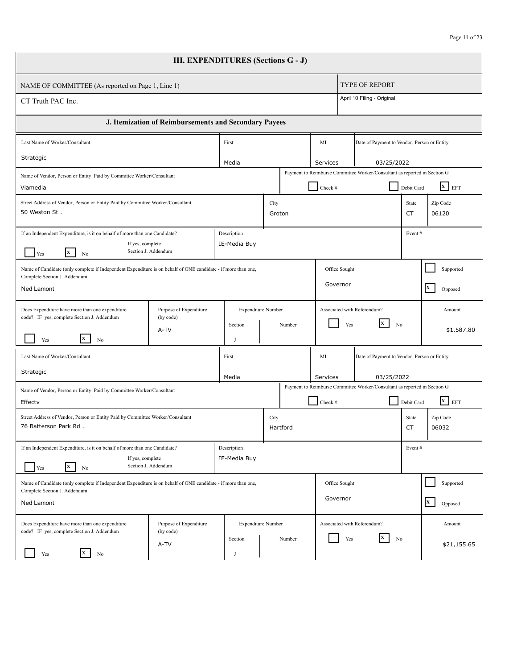| <b>III. EXPENDITURES (Sections G - J)</b>                                                                                                                                     |                                                       |                             |                           |                |          |               |                                                                           |                                                                                                               |                         |  |  |  |
|-------------------------------------------------------------------------------------------------------------------------------------------------------------------------------|-------------------------------------------------------|-----------------------------|---------------------------|----------------|----------|---------------|---------------------------------------------------------------------------|---------------------------------------------------------------------------------------------------------------|-------------------------|--|--|--|
| NAME OF COMMITTEE (As reported on Page 1, Line 1)                                                                                                                             |                                                       |                             |                           |                |          |               | <b>TYPE OF REPORT</b>                                                     |                                                                                                               |                         |  |  |  |
| CT Truth PAC Inc.                                                                                                                                                             |                                                       |                             |                           |                |          |               | April 10 Filing - Original                                                |                                                                                                               |                         |  |  |  |
|                                                                                                                                                                               | J. Itemization of Reimbursements and Secondary Payees |                             |                           |                |          |               |                                                                           |                                                                                                               |                         |  |  |  |
| Last Name of Worker/Consultant                                                                                                                                                |                                                       | First                       |                           |                |          | MI            | Date of Payment to Vendor, Person or Entity                               |                                                                                                               |                         |  |  |  |
| Strategic                                                                                                                                                                     |                                                       | Media                       |                           |                |          | Services      | 03/25/2022                                                                |                                                                                                               |                         |  |  |  |
| Name of Vendor, Person or Entity Paid by Committee Worker/Consultant<br>Viamedia                                                                                              |                                                       |                             |                           |                |          | Check #       | Payment to Reimburse Committee Worker/Consultant as reported in Section G | Debit Card                                                                                                    | $X$ EFT                 |  |  |  |
| Street Address of Vendor, Person or Entity Paid by Committee Worker/Consultant<br>50 Weston St.                                                                               |                                                       |                             |                           | City<br>Groton |          |               |                                                                           | State<br>CT                                                                                                   | Zip Code<br>06120       |  |  |  |
| If an Independent Expenditure, is it on behalf of more than one Candidate?<br>Description<br>IE-Media Buy<br>If yes, complete<br>Section J. Addendum<br><b>x</b><br>No<br>Yes |                                                       |                             |                           |                |          |               |                                                                           | Event#                                                                                                        |                         |  |  |  |
| Name of Candidate (only complete if Independent Expenditure is on behalf of ONE candidate - if more than one,<br>Complete Section J. Addendum                                 |                                                       |                             |                           |                |          | Office Sought |                                                                           |                                                                                                               | Supported               |  |  |  |
| Ned Lamont                                                                                                                                                                    |                                                       |                             |                           |                |          | Governor      |                                                                           |                                                                                                               | $\mathbf{X}$<br>Opposed |  |  |  |
| Does Expenditure have more than one expenditure<br>code? IF yes, complete Section J. Addendum                                                                                 | Purpose of Expenditure<br>(by code)                   |                             | <b>Expenditure Number</b> |                |          |               | Associated with Referendum?                                               |                                                                                                               | Amount                  |  |  |  |
| X<br>Yes<br>No                                                                                                                                                                | A-TV                                                  | Section<br>J                |                           |                | Number   | Yes           | X<br>No                                                                   |                                                                                                               | \$1,587.80              |  |  |  |
| Last Name of Worker/Consultant                                                                                                                                                |                                                       | First                       |                           |                |          | MI            | Date of Payment to Vendor, Person or Entity                               |                                                                                                               |                         |  |  |  |
| Strategic                                                                                                                                                                     |                                                       | Media                       |                           |                |          | Services      | 03/25/2022                                                                |                                                                                                               |                         |  |  |  |
| Name of Vendor, Person or Entity Paid by Committee Worker/Consultant<br>Effectv                                                                                               |                                                       |                             |                           |                |          | Check #       |                                                                           | Payment to Reimburse Committee Worker/Consultant as reported in Section G<br>$\overline{X}$ EFT<br>Debit Card |                         |  |  |  |
| Street Address of Vendor, Person or Entity Paid by Committee Worker/Consultant<br>76 Batterson Park Rd.                                                                       |                                                       |                             |                           | City           | Hartford |               |                                                                           | State<br>CT                                                                                                   | Zip Code<br>06032       |  |  |  |
| If an Independent Expenditure, is it on behalf of more than one Candidate?<br>If yes, complete<br><b>x</b><br>Yes<br>No                                                       | Section J. Addendum                                   | Description<br>IE-Media Buy |                           |                |          |               |                                                                           | Event#                                                                                                        |                         |  |  |  |
| Name of Candidate (only complete if Independent Expenditure is on behalf of ONE candidate - if more than one,<br>Complete Section J. Addendum                                 |                                                       |                             |                           |                |          | Office Sought |                                                                           |                                                                                                               | Supported               |  |  |  |
| Ned Lamont                                                                                                                                                                    |                                                       |                             |                           |                |          | Governor      |                                                                           |                                                                                                               | $\mathbf{x}$<br>Opposed |  |  |  |
| Does Expenditure have more than one expenditure<br>code? IF yes, complete Section J. Addendum                                                                                 | Purpose of Expenditure<br>(by code)                   |                             | <b>Expenditure Number</b> |                |          |               | Associated with Referendum?<br>X                                          |                                                                                                               | Amount                  |  |  |  |
| $\mathbf{x}$<br>Yes<br>No                                                                                                                                                     | A-TV                                                  | Section                     |                           |                | Number   | Yes           | No                                                                        |                                                                                                               | \$21,155.65             |  |  |  |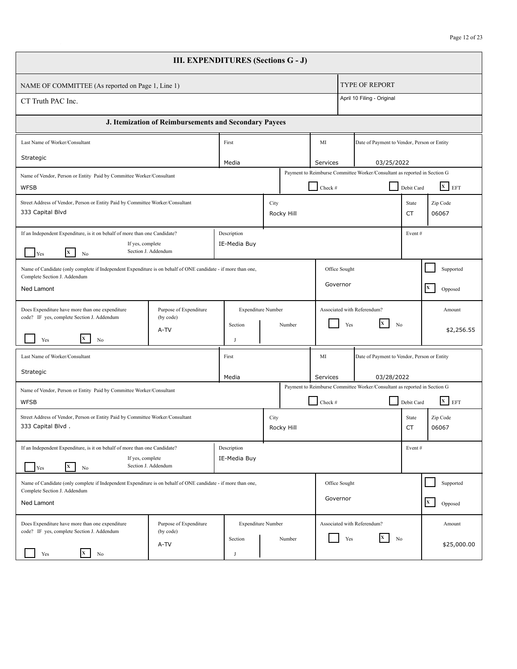| <b>III. EXPENDITURES (Sections G - J)</b>                                                                                                                                     |                                                       |       |                                      |      |                    |                                                   |            |                                                                           |             |                             |  |
|-------------------------------------------------------------------------------------------------------------------------------------------------------------------------------|-------------------------------------------------------|-------|--------------------------------------|------|--------------------|---------------------------------------------------|------------|---------------------------------------------------------------------------|-------------|-----------------------------|--|
| NAME OF COMMITTEE (As reported on Page 1, Line 1)                                                                                                                             |                                                       |       |                                      |      |                    |                                                   |            | <b>TYPE OF REPORT</b>                                                     |             |                             |  |
| CT Truth PAC Inc.                                                                                                                                                             |                                                       |       |                                      |      |                    |                                                   |            | April 10 Filing - Original                                                |             |                             |  |
|                                                                                                                                                                               | J. Itemization of Reimbursements and Secondary Payees |       |                                      |      |                    |                                                   |            |                                                                           |             |                             |  |
| Last Name of Worker/Consultant                                                                                                                                                |                                                       | First |                                      |      |                    | MI<br>Date of Payment to Vendor, Person or Entity |            |                                                                           |             |                             |  |
| Strategic                                                                                                                                                                     |                                                       |       | Media                                |      |                    | Services                                          |            | 03/25/2022                                                                |             |                             |  |
| Name of Vendor, Person or Entity Paid by Committee Worker/Consultant<br><b>WFSB</b>                                                                                           |                                                       |       |                                      |      |                    | Check #                                           |            | Payment to Reimburse Committee Worker/Consultant as reported in Section G | Debit Card  | $\overline{\mathbf{x}}$ EFT |  |
| Street Address of Vendor, Person or Entity Paid by Committee Worker/Consultant<br>333 Capital Blvd                                                                            |                                                       |       |                                      |      | City<br>Rocky Hill |                                                   |            |                                                                           |             | Zip Code<br>06067           |  |
| If an Independent Expenditure, is it on behalf of more than one Candidate?<br>Description<br>If yes, complete<br>IE-Media Buy<br>Section J. Addendum<br><b>x</b><br>Yes<br>No |                                                       |       |                                      |      |                    |                                                   | Event#     |                                                                           |             |                             |  |
| Name of Candidate (only complete if Independent Expenditure is on behalf of ONE candidate - if more than one,<br>Complete Section J. Addendum                                 |                                                       |       |                                      |      | Office Sought      |                                                   |            |                                                                           |             | Supported                   |  |
| Ned Lamont                                                                                                                                                                    |                                                       |       |                                      |      |                    | Governor                                          |            |                                                                           |             | $\mathbf{x}$<br>Opposed     |  |
| Does Expenditure have more than one expenditure<br>code? IF yes, complete Section J. Addendum                                                                                 | Purpose of Expenditure<br>(by code)                   |       | <b>Expenditure Number</b>            |      |                    |                                                   |            | Associated with Referendum?                                               |             | Amount                      |  |
| Yes<br>No                                                                                                                                                                     | A-TV                                                  |       | Section<br>J                         |      | Number             |                                                   | Yes        | X<br>N <sub>0</sub>                                                       |             | \$2,256.55                  |  |
| Last Name of Worker/Consultant                                                                                                                                                |                                                       | First |                                      |      |                    | MI<br>Date of Payment to Vendor, Person or Entity |            |                                                                           |             |                             |  |
| Strategic                                                                                                                                                                     |                                                       |       | Media                                |      |                    | Services                                          | 03/28/2022 |                                                                           |             |                             |  |
| Name of Vendor, Person or Entity Paid by Committee Worker/Consultant<br><b>WFSB</b>                                                                                           |                                                       |       |                                      |      |                    | Check #                                           |            | Payment to Reimburse Committee Worker/Consultant as reported in Section G | Debit Card  | $\mathbf{x}$ EFT            |  |
| Street Address of Vendor, Person or Entity Paid by Committee Worker/Consultant<br>333 Capital Blvd.                                                                           |                                                       |       |                                      | City | Rocky Hill         |                                                   |            |                                                                           | State<br>CT | Zip Code<br>06067           |  |
| If an Independent Expenditure, is it on behalf of more than one Candidate?<br>If yes, complete<br>$\mathbf{X}$<br>Yes<br>No                                                   | Section J. Addendum                                   |       | Description<br>IE-Media Buy          |      |                    |                                                   |            |                                                                           | Event#      |                             |  |
| Name of Candidate (only complete if Independent Expenditure is on behalf of ONE candidate - if more than one,<br>Complete Section J. Addendum                                 |                                                       |       |                                      |      |                    | Office Sought                                     |            |                                                                           |             | Supported                   |  |
| Ned Lamont                                                                                                                                                                    |                                                       |       |                                      |      |                    | Governor                                          |            |                                                                           |             | $\mathbf{x}$<br>Opposed     |  |
| Does Expenditure have more than one expenditure<br>code? IF yes, complete Section J. Addendum                                                                                 | Purpose of Expenditure<br>(by code)                   |       | <b>Expenditure Number</b><br>Section |      | Number             |                                                   | Yes        | Associated with Referendum?<br>X<br>No                                    |             | Amount                      |  |
| $\mathbf{x}$<br>Yes<br>No                                                                                                                                                     | A-TV                                                  |       |                                      |      |                    |                                                   |            |                                                                           |             | \$25,000.00                 |  |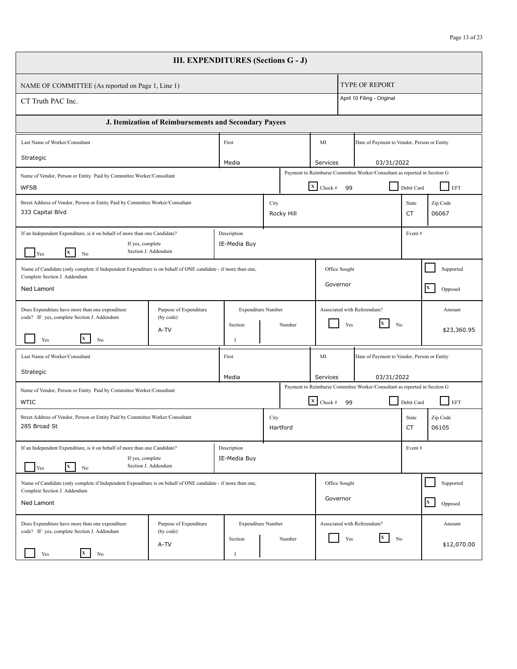| <b>III. EXPENDITURES (Sections G - J)</b>                                                                                                     |                                                       |                             |                           |            |                                    |                                                                           |             |                         |  |  |  |
|-----------------------------------------------------------------------------------------------------------------------------------------------|-------------------------------------------------------|-----------------------------|---------------------------|------------|------------------------------------|---------------------------------------------------------------------------|-------------|-------------------------|--|--|--|
| NAME OF COMMITTEE (As reported on Page 1, Line 1)                                                                                             |                                                       |                             |                           |            |                                    | <b>TYPE OF REPORT</b>                                                     |             |                         |  |  |  |
| CT Truth PAC Inc.                                                                                                                             |                                                       |                             |                           |            |                                    | April 10 Filing - Original                                                |             |                         |  |  |  |
|                                                                                                                                               | J. Itemization of Reimbursements and Secondary Payees |                             |                           |            |                                    |                                                                           |             |                         |  |  |  |
| Last Name of Worker/Consultant                                                                                                                |                                                       | First                       |                           |            | MI                                 | Date of Payment to Vendor, Person or Entity                               |             |                         |  |  |  |
| Strategic                                                                                                                                     |                                                       | Media                       |                           |            | Services                           | 03/31/2022                                                                |             |                         |  |  |  |
| Name of Vendor, Person or Entity Paid by Committee Worker/Consultant<br><b>WFSB</b>                                                           |                                                       |                             |                           |            | $\boxed{\mathbf{x}}$ Check #<br>99 | Payment to Reimburse Committee Worker/Consultant as reported in Section G | Debit Card  | EFT                     |  |  |  |
| Street Address of Vendor, Person or Entity Paid by Committee Worker/Consultant<br>333 Capital Blvd                                            |                                                       |                             | City                      | Rocky Hill |                                    |                                                                           | State<br>СT | Zip Code<br>06067       |  |  |  |
| If an Independent Expenditure, is it on behalf of more than one Candidate?<br>If yes, complete<br>X<br>Yes<br>No                              | Section J. Addendum                                   | Description<br>IE-Media Buy |                           |            |                                    |                                                                           | Event#      |                         |  |  |  |
| Name of Candidate (only complete if Independent Expenditure is on behalf of ONE candidate - if more than one,<br>Complete Section J. Addendum |                                                       |                             |                           |            | Office Sought                      |                                                                           |             | Supported               |  |  |  |
| <b>Ned Lamont</b>                                                                                                                             |                                                       |                             |                           |            | Governor                           |                                                                           |             | $\mathbf{x}$<br>Opposed |  |  |  |
| Does Expenditure have more than one expenditure<br>code? IF yes, complete Section J. Addendum                                                 | Purpose of Expenditure<br>(by code)                   |                             | <b>Expenditure Number</b> |            | Associated with Referendum?        |                                                                           |             | Amount                  |  |  |  |
| X<br>Yes<br>No                                                                                                                                | A-TV                                                  | Section<br>J                |                           | Number     | Yes                                | X<br>N <sub>0</sub>                                                       |             | \$23,360.95             |  |  |  |
| Last Name of Worker/Consultant                                                                                                                |                                                       | First                       |                           |            | MI                                 | Date of Payment to Vendor, Person or Entity                               |             |                         |  |  |  |
| Strategic                                                                                                                                     |                                                       | Media                       |                           |            | Services                           | 03/31/2022                                                                |             |                         |  |  |  |
| Name of Vendor, Person or Entity Paid by Committee Worker/Consultant<br><b>WTIC</b>                                                           |                                                       |                             |                           |            | $\boxed{\mathbf{x}}$ Check #<br>99 | Payment to Reimburse Committee Worker/Consultant as reported in Section G | Debit Card  | EFT                     |  |  |  |
| Street Address of Vendor, Person or Entity Paid by Committee Worker/Consultant<br>285 Broad St                                                |                                                       |                             | City                      | Hartford   |                                    |                                                                           | State<br>CT | Zip Code<br>06105       |  |  |  |
| If an Independent Expenditure, is it on behalf of more than one Candidate?<br>If yes, complete<br>$\mathbf{x}$<br>Yes<br>No                   | Section J. Addendum                                   | Description<br>IE-Media Buy |                           |            |                                    |                                                                           | Event#      |                         |  |  |  |
| Name of Candidate (only complete if Independent Expenditure is on behalf of ONE candidate - if more than one,<br>Complete Section J. Addendum |                                                       |                             |                           |            | Office Sought                      |                                                                           |             | Supported               |  |  |  |
| Ned Lamont                                                                                                                                    |                                                       |                             |                           |            | Governor                           |                                                                           |             | $\mathbf{x}$<br>Opposed |  |  |  |
| Does Expenditure have more than one expenditure<br>code? IF yes, complete Section J. Addendum                                                 | Purpose of Expenditure<br>(by code)                   |                             | <b>Expenditure Number</b> |            | Associated with Referendum?        |                                                                           |             | Amount                  |  |  |  |
| $\mathbf{x}$<br>Yes<br>No                                                                                                                     | A-TV                                                  | Section                     |                           | Number     | Yes                                | X<br>N <sub>0</sub>                                                       |             | \$12,070.00             |  |  |  |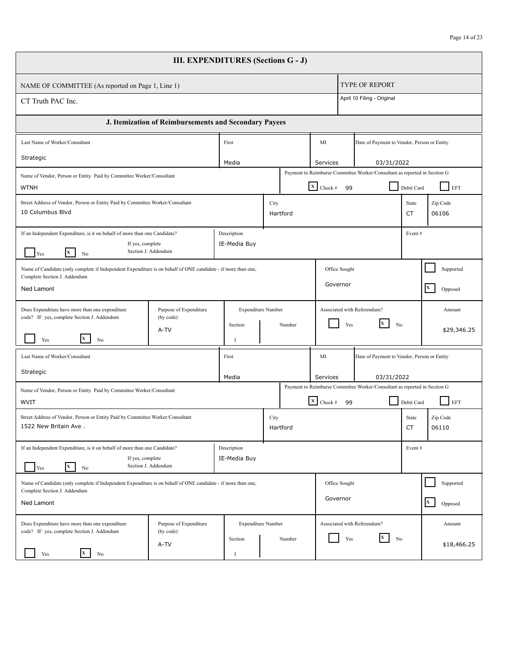| <b>III. EXPENDITURES (Sections G - J)</b>                                                                                                                              |                                     |                             |                           |                        |                                       |                                                                           |                                  |                         |
|------------------------------------------------------------------------------------------------------------------------------------------------------------------------|-------------------------------------|-----------------------------|---------------------------|------------------------|---------------------------------------|---------------------------------------------------------------------------|----------------------------------|-------------------------|
| NAME OF COMMITTEE (As reported on Page 1, Line 1)                                                                                                                      |                                     |                             |                           |                        |                                       | <b>TYPE OF REPORT</b>                                                     |                                  |                         |
| CT Truth PAC Inc.                                                                                                                                                      |                                     |                             |                           |                        |                                       | April 10 Filing - Original                                                |                                  |                         |
| J. Itemization of Reimbursements and Secondary Payees                                                                                                                  |                                     |                             |                           |                        |                                       |                                                                           |                                  |                         |
| Last Name of Worker/Consultant                                                                                                                                         |                                     | First                       |                           |                        | MI                                    | Date of Payment to Vendor, Person or Entity                               |                                  |                         |
| Strategic                                                                                                                                                              |                                     | Media                       |                           |                        | Services                              | 03/31/2022                                                                |                                  |                         |
| Name of Vendor, Person or Entity Paid by Committee Worker/Consultant<br><b>WTNH</b>                                                                                    |                                     |                             |                           |                        | $\boxed{\mathbf{X}}$ Check #<br>99    | Payment to Reimburse Committee Worker/Consultant as reported in Section G | Debit Card                       | EFT                     |
| Street Address of Vendor, Person or Entity Paid by Committee Worker/Consultant<br>10 Columbus Blvd                                                                     | City<br>Hartford                    |                             |                           |                        |                                       |                                                                           | State<br>CT                      | Zip Code<br>06106       |
| If an Independent Expenditure, is it on behalf of more than one Candidate?<br>Description<br>IE-Media Buy<br>If yes, complete<br>Section J. Addendum<br>X<br>Yes<br>No |                                     |                             |                           |                        |                                       |                                                                           | Event#                           |                         |
| Name of Candidate (only complete if Independent Expenditure is on behalf of ONE candidate - if more than one,<br>Complete Section J. Addendum                          |                                     |                             |                           |                        | Office Sought                         |                                                                           |                                  | Supported               |
| <b>Ned Lamont</b>                                                                                                                                                      |                                     |                             |                           |                        | Governor                              |                                                                           |                                  | $\mathbf{x}$<br>Opposed |
| Does Expenditure have more than one expenditure<br>code? IF yes, complete Section J. Addendum                                                                          | Purpose of Expenditure<br>(by code) |                             | Expenditure Number        |                        | Associated with Referendum?           |                                                                           |                                  | Amount                  |
| X.<br>Yes<br>No                                                                                                                                                        | A-TV                                | Section<br>J                |                           | Number                 | Yes                                   | <b>X</b><br>N <sub>0</sub>                                                |                                  | \$29,346.25             |
| Last Name of Worker/Consultant                                                                                                                                         |                                     | First                       |                           |                        | MI                                    | Date of Payment to Vendor, Person or Entity                               |                                  |                         |
| Strategic                                                                                                                                                              |                                     | Media                       |                           | 03/31/2022<br>Services |                                       |                                                                           |                                  |                         |
| Name of Vendor, Person or Entity Paid by Committee Worker/Consultant<br>WVIT                                                                                           |                                     |                             |                           |                        | $\overline{\mathbf{x}}$ Check #<br>99 | Payment to Reimburse Committee Worker/Consultant as reported in Section G | Debit Card                       | EFT                     |
| Street Address of Vendor, Person or Entity Paid by Committee Worker/Consultant<br>1522 New Britain Ave.                                                                |                                     |                             |                           | City<br>Hartford       |                                       |                                                                           | Zip Code<br>State<br>CT<br>06110 |                         |
| If an Independent Expenditure, is it on behalf of more than one Candidate?<br>If yes, complete<br>$\mathbf{x}$<br>Yes<br>No                                            | Section J. Addendum                 | Description<br>IE-Media Buy |                           |                        |                                       |                                                                           | Event#                           |                         |
| Name of Candidate (only complete if Independent Expenditure is on behalf of ONE candidate - if more than one,<br>Complete Section J. Addendum                          |                                     |                             | Office Sought             |                        |                                       | Supported                                                                 |                                  |                         |
| Ned Lamont                                                                                                                                                             |                                     |                             |                           |                        | Governor                              |                                                                           |                                  | $\mathbf{x}$<br>Opposed |
| Does Expenditure have more than one expenditure<br>code? IF yes, complete Section J. Addendum                                                                          | Purpose of Expenditure<br>(by code) |                             | <b>Expenditure Number</b> |                        | Associated with Referendum?           |                                                                           |                                  | Amount                  |
| $\mathbf x$<br>Yes<br>No                                                                                                                                               | A-TV                                | Section                     |                           | Number                 | Yes                                   | $\mathbf{x}$<br>No                                                        |                                  | \$18,466.25             |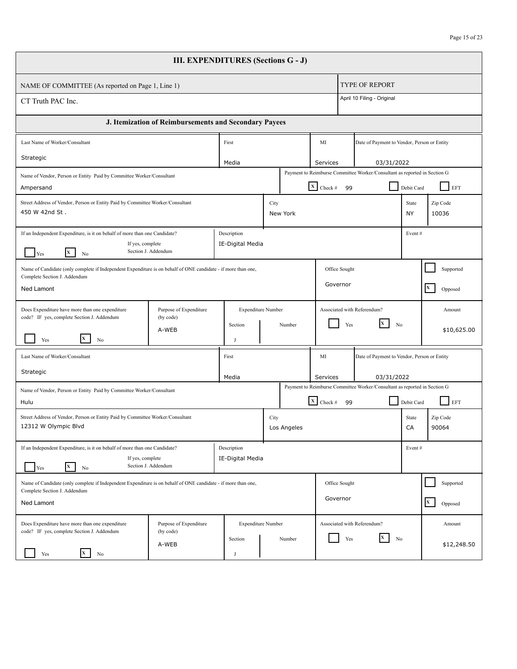| <b>III. EXPENDITURES (Sections G - J)</b>                                                                                                                                  |                                     |  |                                 |                        |             |                              |                                             |                                                                           |             |                         |
|----------------------------------------------------------------------------------------------------------------------------------------------------------------------------|-------------------------------------|--|---------------------------------|------------------------|-------------|------------------------------|---------------------------------------------|---------------------------------------------------------------------------|-------------|-------------------------|
| NAME OF COMMITTEE (As reported on Page 1, Line 1)                                                                                                                          |                                     |  |                                 |                        |             |                              |                                             | <b>TYPE OF REPORT</b>                                                     |             |                         |
| April 10 Filing - Original<br>CT Truth PAC Inc.                                                                                                                            |                                     |  |                                 |                        |             |                              |                                             |                                                                           |             |                         |
| J. Itemization of Reimbursements and Secondary Payees                                                                                                                      |                                     |  |                                 |                        |             |                              |                                             |                                                                           |             |                         |
| Last Name of Worker/Consultant                                                                                                                                             |                                     |  | First                           |                        |             | MI                           | Date of Payment to Vendor, Person or Entity |                                                                           |             |                         |
| Strategic                                                                                                                                                                  |                                     |  | Media                           |                        |             | Services                     |                                             | 03/31/2022                                                                |             |                         |
| Name of Vendor, Person or Entity Paid by Committee Worker/Consultant<br>Ampersand                                                                                          |                                     |  |                                 |                        |             | $\boxed{\mathbf{X}}$ Check # | 99                                          | Payment to Reimburse Committee Worker/Consultant as reported in Section G | Debit Card  | EFT                     |
| Street Address of Vendor, Person or Entity Paid by Committee Worker/Consultant<br>450 W 42nd St.                                                                           |                                     |  |                                 | City                   | New York    |                              |                                             |                                                                           | State<br>ΝY | Zip Code<br>10036       |
| If an Independent Expenditure, is it on behalf of more than one Candidate?<br>Description<br>IE-Digital Media<br>If yes, complete<br>Section J. Addendum<br>X<br>Yes<br>No |                                     |  |                                 |                        |             |                              |                                             |                                                                           | Event#      |                         |
| Name of Candidate (only complete if Independent Expenditure is on behalf of ONE candidate - if more than one,<br>Complete Section J. Addendum                              |                                     |  |                                 |                        |             | Office Sought                |                                             |                                                                           |             | Supported               |
| Ned Lamont                                                                                                                                                                 |                                     |  |                                 |                        |             | Governor                     |                                             |                                                                           |             | $\mathbf{x}$<br>Opposed |
| Does Expenditure have more than one expenditure<br>code? IF yes, complete Section J. Addendum                                                                              | Purpose of Expenditure<br>(by code) |  | <b>Expenditure Number</b>       |                        |             | Associated with Referendum?  |                                             |                                                                           |             | Amount                  |
| X<br>Yes<br>No                                                                                                                                                             | A-WEB                               |  | Section<br>J                    |                        | Number      |                              | Yes                                         | X<br>N <sub>0</sub>                                                       |             | \$10,625.00             |
| Last Name of Worker/Consultant                                                                                                                                             |                                     |  | First                           |                        | MI          |                              |                                             | Date of Payment to Vendor, Person or Entity                               |             |                         |
| Strategic                                                                                                                                                                  |                                     |  | Media                           | 03/31/2022<br>Services |             |                              |                                             |                                                                           |             |                         |
| Name of Vendor, Person or Entity Paid by Committee Worker/Consultant                                                                                                       |                                     |  |                                 |                        |             |                              |                                             | Payment to Reimburse Committee Worker/Consultant as reported in Section G |             |                         |
| Hulu                                                                                                                                                                       |                                     |  |                                 |                        |             | $\boxed{\mathbf{x}}$ Check # | 99                                          |                                                                           | Debit Card  | EFT                     |
| Street Address of Vendor, Person or Entity Paid by Committee Worker/Consultant<br>12312 W Olympic Blvd                                                                     |                                     |  |                                 | City                   | Los Angeles |                              |                                             |                                                                           | State<br>CA | Zip Code<br>90064       |
| If an Independent Expenditure, is it on behalf of more than one Candidate?<br>If yes, complete                                                                             |                                     |  | Description<br>IE-Digital Media |                        |             |                              |                                             |                                                                           | Event#      |                         |
| $\mathbf{X}$<br>Yes<br>No                                                                                                                                                  | Section J. Addendum                 |  |                                 |                        |             |                              |                                             |                                                                           |             |                         |
| Name of Candidate (only complete if Independent Expenditure is on behalf of ONE candidate - if more than one,<br>Complete Section J. Addendum                              |                                     |  |                                 |                        |             | Office Sought                |                                             |                                                                           |             | Supported               |
| Ned Lamont                                                                                                                                                                 |                                     |  |                                 |                        |             | Governor                     |                                             |                                                                           |             | $\mathbf{x}$<br>Opposed |
| Does Expenditure have more than one expenditure<br>code? IF yes, complete Section J. Addendum                                                                              | Purpose of Expenditure<br>(by code) |  | <b>Expenditure Number</b>       |                        |             | Associated with Referendum?  |                                             |                                                                           |             | Amount                  |
| $\mathbf{x}$<br>Yes<br>No                                                                                                                                                  | A-WEB                               |  | Section                         |                        | Number      |                              | Yes                                         | X<br>No                                                                   |             | \$12,248.50             |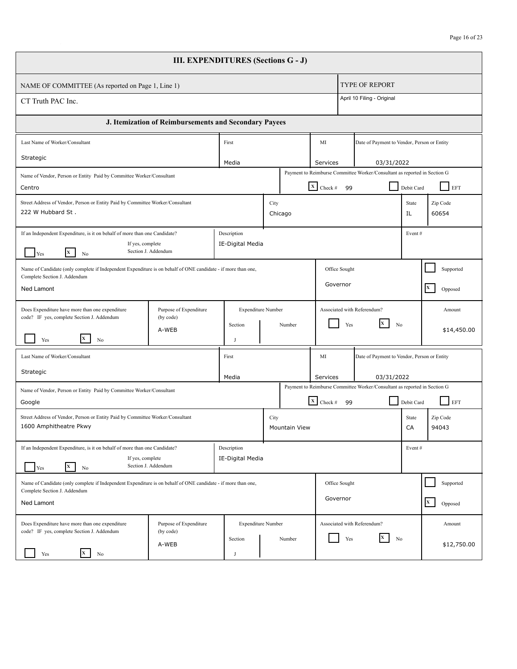| <b>III. EXPENDITURES (Sections G - J)</b>                                                                                                                                         |                                     |  |                                      |                        |                                                                                                                 |                                                                                                           |                                             |                                             |                   |                         |
|-----------------------------------------------------------------------------------------------------------------------------------------------------------------------------------|-------------------------------------|--|--------------------------------------|------------------------|-----------------------------------------------------------------------------------------------------------------|-----------------------------------------------------------------------------------------------------------|---------------------------------------------|---------------------------------------------|-------------------|-------------------------|
| NAME OF COMMITTEE (As reported on Page 1, Line 1)                                                                                                                                 |                                     |  |                                      |                        |                                                                                                                 |                                                                                                           | <b>TYPE OF REPORT</b>                       |                                             |                   |                         |
| April 10 Filing - Original<br>CT Truth PAC Inc.                                                                                                                                   |                                     |  |                                      |                        |                                                                                                                 |                                                                                                           |                                             |                                             |                   |                         |
| J. Itemization of Reimbursements and Secondary Payees                                                                                                                             |                                     |  |                                      |                        |                                                                                                                 |                                                                                                           |                                             |                                             |                   |                         |
| Last Name of Worker/Consultant                                                                                                                                                    |                                     |  | First                                |                        |                                                                                                                 | MI                                                                                                        | Date of Payment to Vendor, Person or Entity |                                             |                   |                         |
| Strategic                                                                                                                                                                         |                                     |  | Media                                |                        |                                                                                                                 | Services                                                                                                  |                                             | 03/31/2022                                  |                   |                         |
| Name of Vendor, Person or Entity Paid by Committee Worker/Consultant<br>Centro                                                                                                    |                                     |  |                                      |                        | Payment to Reimburse Committee Worker/Consultant as reported in Section G<br>$\boxed{\mathbf{X}}$ Check #<br>99 |                                                                                                           |                                             | Debit Card                                  | EFT               |                         |
| Street Address of Vendor, Person or Entity Paid by Committee Worker/Consultant<br>222 W Hubbard St.                                                                               | City<br>Chicago                     |  |                                      |                        |                                                                                                                 |                                                                                                           |                                             | State<br>IL                                 | Zip Code<br>60654 |                         |
| If an Independent Expenditure, is it on behalf of more than one Candidate?<br>Description<br>IE-Digital Media<br>If yes, complete<br>Section J. Addendum<br><b>x</b><br>Yes<br>No |                                     |  |                                      |                        |                                                                                                                 |                                                                                                           |                                             |                                             | Event#            |                         |
| Name of Candidate (only complete if Independent Expenditure is on behalf of ONE candidate - if more than one,<br>Complete Section J. Addendum                                     |                                     |  |                                      |                        | Office Sought                                                                                                   |                                                                                                           |                                             |                                             | Supported         |                         |
| Ned Lamont                                                                                                                                                                        |                                     |  |                                      |                        |                                                                                                                 | Governor                                                                                                  |                                             |                                             |                   | $\mathbf{x}$<br>Opposed |
| Does Expenditure have more than one expenditure<br>code? IF yes, complete Section J. Addendum                                                                                     | Purpose of Expenditure<br>(by code) |  | <b>Expenditure Number</b><br>Section |                        | Number                                                                                                          |                                                                                                           | Associated with Referendum?<br>X<br>Yes     | N <sub>0</sub>                              |                   | Amount                  |
| X<br>Yes<br>No                                                                                                                                                                    | A-WEB                               |  | J                                    |                        |                                                                                                                 |                                                                                                           |                                             |                                             |                   | \$14,450.00             |
| Last Name of Worker/Consultant                                                                                                                                                    |                                     |  | First                                |                        | MI                                                                                                              |                                                                                                           |                                             | Date of Payment to Vendor, Person or Entity |                   |                         |
| Strategic                                                                                                                                                                         |                                     |  | Media                                | 03/31/2022<br>Services |                                                                                                                 |                                                                                                           |                                             |                                             |                   |                         |
| Name of Vendor, Person or Entity Paid by Committee Worker/Consultant<br>Google                                                                                                    |                                     |  |                                      |                        |                                                                                                                 | Payment to Reimburse Committee Worker/Consultant as reported in Section G<br>$\boxed{\mathbf{x}}$ Check # | 99                                          |                                             | Debit Card        | EFT                     |
| Street Address of Vendor, Person or Entity Paid by Committee Worker/Consultant<br>1600 Amphitheatre Pkwy                                                                          |                                     |  |                                      | City                   | <b>Mountain View</b>                                                                                            |                                                                                                           |                                             | State<br>CA                                 |                   | Zip Code<br>94043       |
| If an Independent Expenditure, is it on behalf of more than one Candidate?<br>If yes, complete<br>$\mathbf{X}$<br>Yes<br>No                                                       | Section J. Addendum                 |  | Description<br>IE-Digital Media      |                        |                                                                                                                 |                                                                                                           |                                             |                                             | Event#            |                         |
| Name of Candidate (only complete if Independent Expenditure is on behalf of ONE candidate - if more than one,<br>Complete Section J. Addendum                                     |                                     |  |                                      |                        |                                                                                                                 | Office Sought<br>Governor                                                                                 |                                             |                                             |                   | Supported               |
| Ned Lamont                                                                                                                                                                        |                                     |  |                                      |                        |                                                                                                                 |                                                                                                           |                                             |                                             |                   | $\mathbf{x}$<br>Opposed |
| Does Expenditure have more than one expenditure<br>code? IF yes, complete Section J. Addendum                                                                                     | Purpose of Expenditure<br>(by code) |  | <b>Expenditure Number</b><br>Section |                        | Number                                                                                                          | Associated with Referendum?<br>X<br>Yes<br>No                                                             |                                             |                                             |                   | Amount                  |
| $\mathbf{x}$<br>Yes<br>N <sub>0</sub>                                                                                                                                             | A-WEB                               |  |                                      |                        |                                                                                                                 |                                                                                                           |                                             |                                             |                   | \$12,750.00             |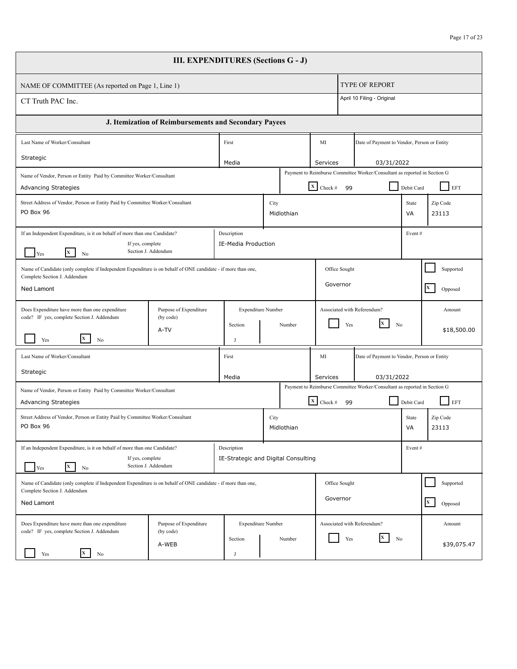| <b>III. EXPENDITURES (Sections G - J)</b>                                                                                   |                                                                                                                                                             |                    |                                                    |                                                                           |                                     |                              |                                                                           |                   |                         |
|-----------------------------------------------------------------------------------------------------------------------------|-------------------------------------------------------------------------------------------------------------------------------------------------------------|--------------------|----------------------------------------------------|---------------------------------------------------------------------------|-------------------------------------|------------------------------|---------------------------------------------------------------------------|-------------------|-------------------------|
| <b>TYPE OF REPORT</b><br>NAME OF COMMITTEE (As reported on Page 1, Line 1)                                                  |                                                                                                                                                             |                    |                                                    |                                                                           |                                     |                              |                                                                           |                   |                         |
| April 10 Filing - Original<br>CT Truth PAC Inc.                                                                             |                                                                                                                                                             |                    |                                                    |                                                                           |                                     |                              |                                                                           |                   |                         |
| J. Itemization of Reimbursements and Secondary Payees                                                                       |                                                                                                                                                             |                    |                                                    |                                                                           |                                     |                              |                                                                           |                   |                         |
| Last Name of Worker/Consultant<br>First                                                                                     |                                                                                                                                                             |                    |                                                    |                                                                           |                                     | MI                           | Date of Payment to Vendor, Person or Entity                               |                   |                         |
| Strategic                                                                                                                   |                                                                                                                                                             |                    | Media                                              |                                                                           |                                     | Services                     | 03/31/2022                                                                |                   |                         |
| Name of Vendor, Person or Entity Paid by Committee Worker/Consultant<br><b>Advancing Strategies</b>                         |                                                                                                                                                             |                    |                                                    |                                                                           |                                     | $X$ Check #<br>99            | Payment to Reimburse Committee Worker/Consultant as reported in Section G | Debit Card        | EFT                     |
| Street Address of Vendor, Person or Entity Paid by Committee Worker/Consultant<br>PO Box 96                                 |                                                                                                                                                             | City<br>Midlothian |                                                    |                                                                           |                                     |                              | State<br>VA                                                               | Zip Code<br>23113 |                         |
| $\mathbf{X}$<br>Yes<br>No                                                                                                   | If an Independent Expenditure, is it on behalf of more than one Candidate?<br>Description<br>IE-Media Production<br>If yes, complete<br>Section J. Addendum |                    |                                                    |                                                                           |                                     |                              |                                                                           | Event#            |                         |
| Name of Candidate (only complete if Independent Expenditure is on behalf of ONE candidate - if more than one,               |                                                                                                                                                             |                    |                                                    |                                                                           |                                     | Office Sought                |                                                                           |                   | Supported               |
| Complete Section J. Addendum<br><b>Ned Lamont</b>                                                                           |                                                                                                                                                             |                    |                                                    |                                                                           | Governor<br>$\mathbf{x}$<br>Opposed |                              |                                                                           |                   |                         |
| Does Expenditure have more than one expenditure<br>code? IF yes, complete Section J. Addendum                               | Purpose of Expenditure<br>(by code)                                                                                                                         |                    | <b>Expenditure Number</b>                          |                                                                           |                                     |                              | Associated with Referendum?                                               |                   | Amount                  |
| X<br>Yes<br>No                                                                                                              | A-TV                                                                                                                                                        |                    | Section<br>J                                       |                                                                           | Number                              | Yes                          | lx.<br>No                                                                 |                   | \$18,500.00             |
| Last Name of Worker/Consultant                                                                                              |                                                                                                                                                             |                    | First                                              |                                                                           |                                     | MI                           | Date of Payment to Vendor, Person or Entity                               |                   |                         |
| Strategic                                                                                                                   |                                                                                                                                                             |                    | Media                                              |                                                                           |                                     | Services<br>03/31/2022       |                                                                           |                   |                         |
| Name of Vendor, Person or Entity Paid by Committee Worker/Consultant                                                        |                                                                                                                                                             |                    |                                                    | Payment to Reimburse Committee Worker/Consultant as reported in Section G |                                     |                              |                                                                           |                   |                         |
| <b>Advancing Strategies</b>                                                                                                 |                                                                                                                                                             |                    |                                                    |                                                                           |                                     | $\mathbf{x}$ Check #<br>- 99 |                                                                           | Debit Card        | EFT                     |
| Street Address of Vendor, Person or Entity Paid by Committee Worker/Consultant<br>PO Box 96                                 |                                                                                                                                                             |                    |                                                    | City                                                                      | Midlothian                          |                              |                                                                           | State<br>VA       | Zip Code<br>23113       |
| If an Independent Expenditure, is it on behalf of more than one Candidate?<br>If yes, complete<br>$\mathbf{x}$<br>Yes<br>No | Section J. Addendum                                                                                                                                         |                    | Description<br>IE-Strategic and Digital Consulting |                                                                           |                                     |                              |                                                                           | Event#            |                         |
| Name of Candidate (only complete if Independent Expenditure is on behalf of ONE candidate - if more than one,               |                                                                                                                                                             |                    |                                                    |                                                                           |                                     | Office Sought                |                                                                           |                   | Supported               |
| Complete Section J. Addendum<br>Ned Lamont                                                                                  |                                                                                                                                                             |                    |                                                    |                                                                           |                                     | Governor                     |                                                                           |                   | $\mathbf{X}$<br>Opposed |
| Does Expenditure have more than one expenditure<br>code? IF yes, complete Section J. Addendum                               | Purpose of Expenditure<br>(by code)                                                                                                                         |                    | <b>Expenditure Number</b>                          |                                                                           |                                     |                              | Associated with Referendum?                                               |                   | Amount                  |
| $\mathbf{x}$<br>Yes<br>No                                                                                                   | A-WEB                                                                                                                                                       |                    | Section<br>l.                                      |                                                                           | Number                              | Yes                          | X<br>No                                                                   |                   | \$39,075.47             |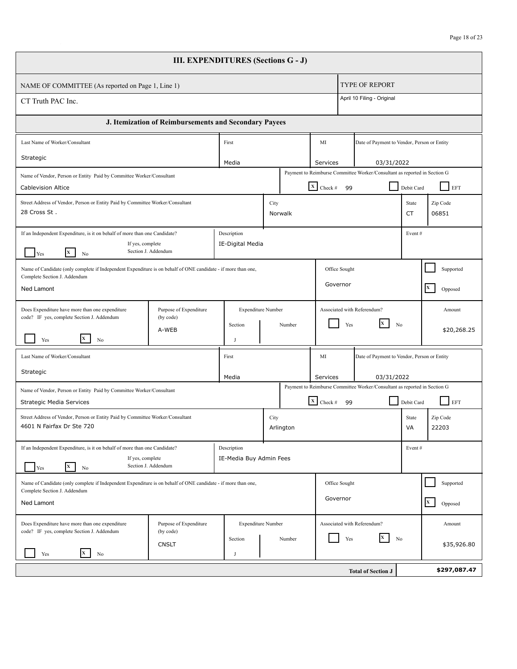| <b>III. EXPENDITURES (Sections G - J)</b>                                                                                                     |                                                                                                                                                          |  |                                        |      |           |                                                                           |                             |                                                                           |                    |                         |
|-----------------------------------------------------------------------------------------------------------------------------------------------|----------------------------------------------------------------------------------------------------------------------------------------------------------|--|----------------------------------------|------|-----------|---------------------------------------------------------------------------|-----------------------------|---------------------------------------------------------------------------|--------------------|-------------------------|
| NAME OF COMMITTEE (As reported on Page 1, Line 1)                                                                                             |                                                                                                                                                          |  |                                        |      |           |                                                                           |                             | <b>TYPE OF REPORT</b>                                                     |                    |                         |
| April 10 Filing - Original<br>CT Truth PAC Inc.                                                                                               |                                                                                                                                                          |  |                                        |      |           |                                                                           |                             |                                                                           |                    |                         |
|                                                                                                                                               | J. Itemization of Reimbursements and Secondary Payees                                                                                                    |  |                                        |      |           |                                                                           |                             |                                                                           |                    |                         |
| Last Name of Worker/Consultant                                                                                                                |                                                                                                                                                          |  | First                                  |      |           | MI                                                                        |                             | Date of Payment to Vendor, Person or Entity                               |                    |                         |
| Strategic                                                                                                                                     |                                                                                                                                                          |  | Media                                  |      |           | Services                                                                  |                             | 03/31/2022                                                                |                    |                         |
| Name of Vendor, Person or Entity Paid by Committee Worker/Consultant                                                                          |                                                                                                                                                          |  |                                        |      |           |                                                                           |                             | Payment to Reimburse Committee Worker/Consultant as reported in Section G |                    |                         |
| <b>Cablevision Altice</b>                                                                                                                     |                                                                                                                                                          |  |                                        |      |           | $\boxed{\mathbf{X}}$ Check #                                              | -99                         |                                                                           | Debit Card         | EFT                     |
| 28 Cross St.                                                                                                                                  | Street Address of Vendor, Person or Entity Paid by Committee Worker/Consultant<br>City<br>Norwalk                                                        |  |                                        |      |           |                                                                           |                             |                                                                           | State<br><b>CT</b> | Zip Code<br>06851       |
| $\mathbf{X}$<br>Yes<br>No                                                                                                                     | Description<br>If an Independent Expenditure, is it on behalf of more than one Candidate?<br>If yes, complete<br>IE-Digital Media<br>Section J. Addendum |  |                                        |      |           |                                                                           |                             |                                                                           | Event#             |                         |
| Name of Candidate (only complete if Independent Expenditure is on behalf of ONE candidate - if more than one,                                 |                                                                                                                                                          |  |                                        |      |           | Office Sought                                                             |                             |                                                                           | Supported          |                         |
| Complete Section J. Addendum<br>Ned Lamont                                                                                                    |                                                                                                                                                          |  |                                        |      |           |                                                                           | Governor                    |                                                                           |                    | $\mathbf{x}$<br>Opposed |
| Does Expenditure have more than one expenditure<br>code? IF yes, complete Section J. Addendum                                                 | Purpose of Expenditure<br>(by code)                                                                                                                      |  | <b>Expenditure Number</b>              |      |           |                                                                           | Associated with Referendum? |                                                                           |                    | Amount                  |
| Yes<br>No                                                                                                                                     | A-WEB                                                                                                                                                    |  | Section<br>J                           |      | Number    | X<br>Yes<br>N <sub>0</sub>                                                |                             |                                                                           |                    | \$20,268.25             |
| Last Name of Worker/Consultant                                                                                                                |                                                                                                                                                          |  | First                                  |      |           | MI<br>Date of Payment to Vendor, Person or Entity                         |                             |                                                                           |                    |                         |
| Strategic                                                                                                                                     |                                                                                                                                                          |  | Media                                  |      |           | Services<br>03/31/2022                                                    |                             |                                                                           |                    |                         |
| Name of Vendor, Person or Entity Paid by Committee Worker/Consultant                                                                          |                                                                                                                                                          |  |                                        |      |           | Payment to Reimburse Committee Worker/Consultant as reported in Section G |                             |                                                                           |                    |                         |
| <b>Strategic Media Services</b>                                                                                                               |                                                                                                                                                          |  |                                        |      |           | $X$ Check #                                                               | 99                          |                                                                           | Debit Card         | EFT                     |
| Street Address of Vendor, Person or Entity Paid by Committee Worker/Consultant<br>4601 N Fairfax Dr Ste 720                                   |                                                                                                                                                          |  |                                        | City | Arlington |                                                                           |                             |                                                                           | State<br>VA        | Zip Code<br>22203       |
| If an Independent Expenditure, is it on behalf of more than one Candidate?<br>If yes, complete                                                |                                                                                                                                                          |  | Description<br>IE-Media Buy Admin Fees |      |           |                                                                           |                             |                                                                           | Event#             |                         |
| X<br>Yes<br>No                                                                                                                                | Section J. Addendum                                                                                                                                      |  |                                        |      |           |                                                                           |                             |                                                                           |                    |                         |
| Name of Candidate (only complete if Independent Expenditure is on behalf of ONE candidate - if more than one,<br>Complete Section J. Addendum |                                                                                                                                                          |  |                                        |      |           | Office Sought<br>Governor                                                 |                             |                                                                           |                    | Supported               |
| Ned Lamont                                                                                                                                    |                                                                                                                                                          |  |                                        |      |           |                                                                           |                             |                                                                           |                    | $\mathbf{x}$<br>Opposed |
| Does Expenditure have more than one expenditure<br>code? IF yes, complete Section J. Addendum                                                 | Purpose of Expenditure<br>(by code)                                                                                                                      |  | <b>Expenditure Number</b>              |      |           | Associated with Referendum?                                               |                             |                                                                           |                    | Amount                  |
| X<br>Yes<br>No                                                                                                                                | <b>CNSLT</b>                                                                                                                                             |  | Section<br>J                           |      | Number    |                                                                           | Yes                         | X<br>N <sub>0</sub>                                                       |                    | \$35,926.80             |
|                                                                                                                                               |                                                                                                                                                          |  |                                        |      |           |                                                                           |                             | <b>Total of Section J</b>                                                 |                    | \$297,087.47            |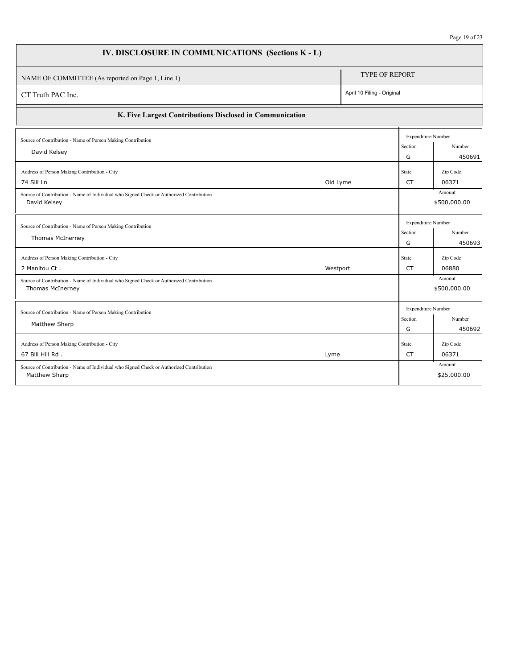| IV. DISCLOSURE IN COMMUNICATIONS (Sections K - L)                                                           |                            |                                           |                        |
|-------------------------------------------------------------------------------------------------------------|----------------------------|-------------------------------------------|------------------------|
| NAME OF COMMITTEE (As reported on Page 1, Line 1)                                                           | <b>TYPE OF REPORT</b>      |                                           |                        |
| CT Truth PAC Inc.                                                                                           | April 10 Filing - Original |                                           |                        |
| K. Five Largest Contributions Disclosed in Communication                                                    |                            |                                           |                        |
| Source of Contribution - Name of Person Making Contribution<br>David Kelsey                                 |                            | <b>Expenditure Number</b><br>Section<br>G | Number<br>450691       |
| Address of Person Making Contribution - City<br>74 Sill Ln<br>Old Lyme                                      |                            | State<br><b>CT</b>                        | Zip Code<br>06371      |
| Source of Contribution - Name of Individual who Signed Check or Authorized Contribution<br>David Kelsey     |                            |                                           | Amount<br>\$500,000.00 |
| Source of Contribution - Name of Person Making Contribution<br>Thomas McInerney                             |                            | <b>Expenditure Number</b><br>Section<br>G | Number<br>450693       |
| Address of Person Making Contribution - City<br>2 Manitou Ct.<br>Westport                                   |                            | State<br>CT                               | Zip Code<br>06880      |
| Source of Contribution - Name of Individual who Signed Check or Authorized Contribution<br>Thomas McInerney |                            |                                           | Amount<br>\$500,000.00 |
| Source of Contribution - Name of Person Making Contribution<br>Matthew Sharp                                |                            | <b>Expenditure Number</b><br>Section<br>G | Number<br>450692       |
| Address of Person Making Contribution - City<br>67 Bill Hill Rd.<br>Lyme                                    |                            | State<br>CT                               | Zip Code<br>06371      |
| Source of Contribution - Name of Individual who Signed Check or Authorized Contribution<br>Matthew Sharp    |                            |                                           | Amount<br>\$25,000.00  |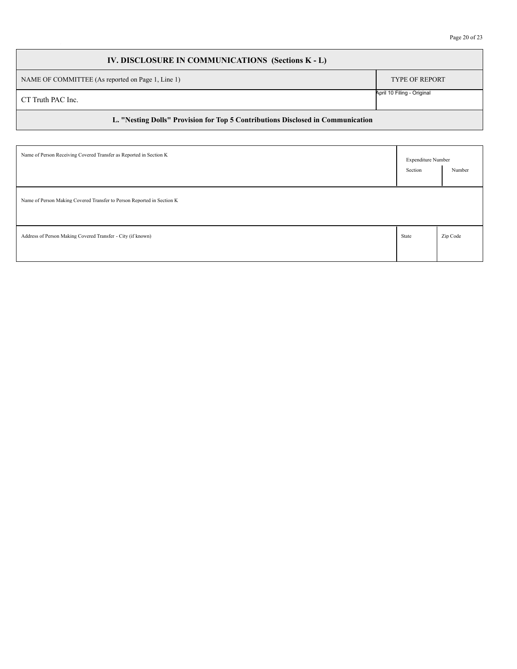## **IV. DISCLOSURE IN COMMUNICATIONS (Sections K - L)** NAME OF COMMITTEE (As reported on Page 1, Line 1) TYPE OF REPORT **L. "Nesting Dolls" Provision for Top 5 Contributions Disclosed in Communication** CT Truth PAC Inc. April 10 Filing - Original

| Name of Person Receiving Covered Transfer as Reported in Section K     | <b>Expenditure Number</b> |          |
|------------------------------------------------------------------------|---------------------------|----------|
|                                                                        | Section                   | Number   |
| Name of Person Making Covered Transfer to Person Reported in Section K |                           |          |
| Address of Person Making Covered Transfer - City (if known)            | State                     | Zip Code |
|                                                                        |                           |          |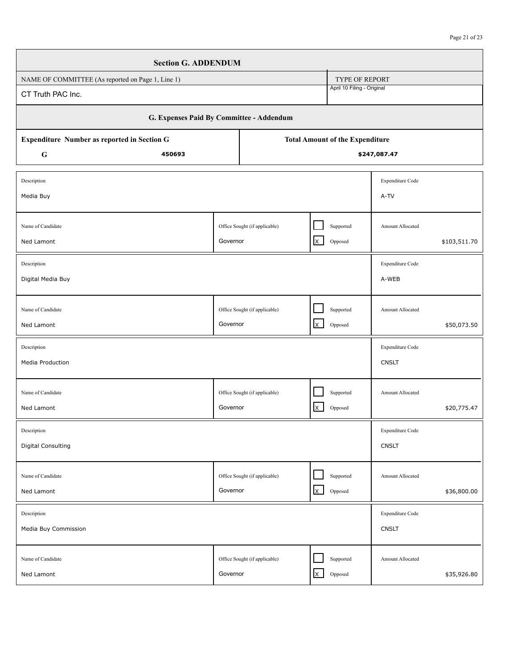|                                                                                       | <b>Section G. ADDENDUM</b>               |                               |                               |                |                            |                                                 |              |  |
|---------------------------------------------------------------------------------------|------------------------------------------|-------------------------------|-------------------------------|----------------|----------------------------|-------------------------------------------------|--------------|--|
| NAME OF COMMITTEE (As reported on Page 1, Line 1)                                     |                                          |                               |                               |                | <b>TYPE OF REPORT</b>      |                                                 |              |  |
| April 10 Filing - Original<br>CT Truth PAC Inc.                                       |                                          |                               |                               |                |                            |                                                 |              |  |
|                                                                                       | G. Expenses Paid By Committee - Addendum |                               |                               |                |                            |                                                 |              |  |
| Expenditure Number as reported in Section G<br><b>Total Amount of the Expenditure</b> |                                          |                               |                               |                |                            |                                                 |              |  |
| G                                                                                     |                                          | \$247,087.47                  |                               |                |                            |                                                 |              |  |
| Description                                                                           |                                          |                               |                               |                |                            | Expenditure Code                                |              |  |
| Media Buy                                                                             |                                          |                               |                               |                |                            | A-TV                                            |              |  |
|                                                                                       |                                          |                               |                               |                |                            |                                                 |              |  |
| Name of Candidate                                                                     |                                          |                               | Office Sought (if applicable) |                | Supported                  | Amount Allocated                                |              |  |
| Ned Lamont                                                                            |                                          | Governor                      |                               | $\mathsf{x}$   | $\operatorname{Opposed}$   |                                                 | \$103,511.70 |  |
| Description                                                                           |                                          |                               |                               |                |                            | Expenditure Code                                |              |  |
| Digital Media Buy                                                                     |                                          |                               |                               |                |                            | A-WEB                                           |              |  |
|                                                                                       |                                          |                               |                               |                |                            |                                                 |              |  |
| Name of Candidate                                                                     |                                          | Office Sought (if applicable) |                               |                | Supported                  | Amount Allocated                                |              |  |
| Ned Lamont                                                                            |                                          | Governor                      |                               | $\mathsf{X}^-$ | Opposed                    |                                                 | \$50,073.50  |  |
| Description                                                                           |                                          |                               |                               |                |                            | Expenditure Code                                |              |  |
| Media Production                                                                      |                                          |                               |                               |                |                            | <b>CNSLT</b>                                    |              |  |
|                                                                                       |                                          |                               |                               |                |                            |                                                 |              |  |
| Name of Candidate                                                                     |                                          |                               | Office Sought (if applicable) |                | Supported                  | Amount Allocated                                |              |  |
| Ned Lamont                                                                            |                                          | Governor                      |                               | $\mathsf{x}$   | $\operatorname{Opposed}$   |                                                 | \$20,775.47  |  |
| Description                                                                           |                                          |                               |                               |                |                            | $\ensuremath{\mathsf{Expenditure}}\xspace$ Code |              |  |
| <b>Digital Consulting</b>                                                             |                                          |                               |                               |                |                            | <b>CNSLT</b>                                    |              |  |
|                                                                                       |                                          |                               |                               |                |                            |                                                 |              |  |
| Name of Candidate                                                                     |                                          |                               | Office Sought (if applicable) |                | Supported                  | Amount Allocated                                |              |  |
| Ned Lamont                                                                            |                                          | Governor                      |                               | $\mathsf{x}$   | Opposed                    |                                                 | \$36,800.00  |  |
| Description                                                                           |                                          |                               |                               |                |                            | Expenditure Code                                |              |  |
| Media Buy Commission                                                                  |                                          |                               |                               |                |                            | <b>CNSLT</b>                                    |              |  |
|                                                                                       |                                          |                               |                               |                |                            |                                                 |              |  |
| Name of Candidate<br>Ned Lamont                                                       |                                          | Governor                      | Office Sought (if applicable) | $\mathsf{X}^-$ | Supported<br>$\rm Opposed$ | Amount Allocated                                | \$35,926.80  |  |
|                                                                                       |                                          |                               |                               |                |                            |                                                 |              |  |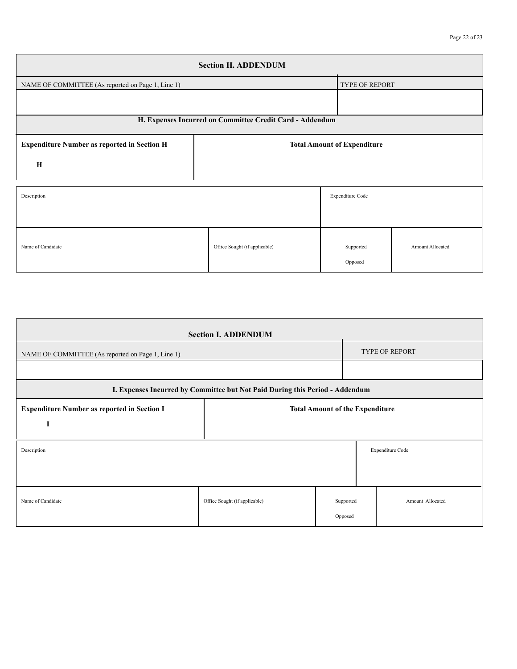| <b>Section H. ADDENDUM</b>                               |                                    |                       |                  |  |  |  |  |  |
|----------------------------------------------------------|------------------------------------|-----------------------|------------------|--|--|--|--|--|
| NAME OF COMMITTEE (As reported on Page 1, Line 1)        |                                    | <b>TYPE OF REPORT</b> |                  |  |  |  |  |  |
|                                                          |                                    |                       |                  |  |  |  |  |  |
| H. Expenses Incurred on Committee Credit Card - Addendum |                                    |                       |                  |  |  |  |  |  |
| <b>Expenditure Number as reported in Section H</b>       | <b>Total Amount of Expenditure</b> |                       |                  |  |  |  |  |  |
| $\mathbf H$                                              |                                    |                       |                  |  |  |  |  |  |
| Description                                              |                                    | Expenditure Code      |                  |  |  |  |  |  |
| Name of Candidate                                        | Office Sought (if applicable)      | Supported<br>Opposed  | Amount Allocated |  |  |  |  |  |

| <b>Section I. ADDENDUM</b>                                                                   |                               |         |                               |                  |  |  |  |
|----------------------------------------------------------------------------------------------|-------------------------------|---------|-------------------------------|------------------|--|--|--|
| NAME OF COMMITTEE (As reported on Page 1, Line 1)                                            |                               |         | <b>TYPE OF REPORT</b>         |                  |  |  |  |
|                                                                                              |                               |         |                               |                  |  |  |  |
| I. Expenses Incurred by Committee but Not Paid During this Period - Addendum                 |                               |         |                               |                  |  |  |  |
| <b>Expenditure Number as reported in Section I</b><br><b>Total Amount of the Expenditure</b> |                               |         |                               |                  |  |  |  |
| 1                                                                                            |                               |         |                               |                  |  |  |  |
| Description                                                                                  |                               |         |                               | Expenditure Code |  |  |  |
|                                                                                              |                               |         |                               |                  |  |  |  |
|                                                                                              |                               |         |                               |                  |  |  |  |
| Name of Candidate                                                                            | Office Sought (if applicable) |         | Amount Allocated<br>Supported |                  |  |  |  |
|                                                                                              |                               | Opposed |                               |                  |  |  |  |